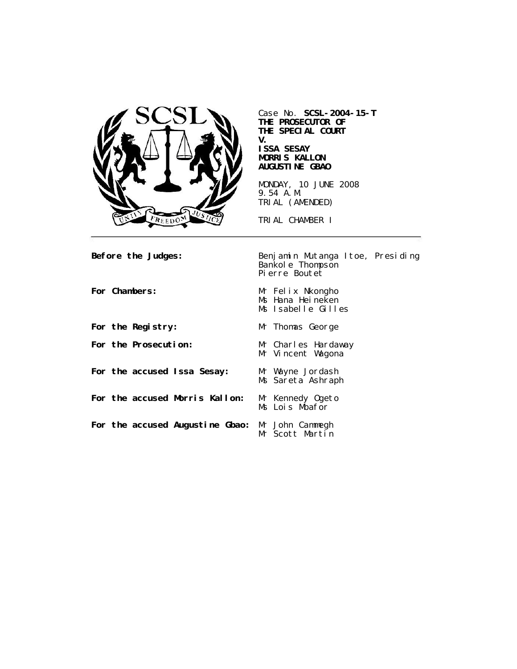

Case No. **SCSL-2004-15-T THE PROSECUTOR OF THE SPECIAL COURT V. ISSA SESAY MORRIS KALLON AUGUSTINE GBAO** MONDAY, 10 JUNE 2008

9.54 A.M. TRIAL (AMENDED)

TRIAL CHAMBER I

**Before the Judges:** Benjamin Mutanga Itoe, Presiding Bankole Thompson Pierre Boutet

| For Chambers:                                   | Mr Felix Nkongho<br>Ms Hana Heineken<br>Ms Isabelle Gilles |
|-------------------------------------------------|------------------------------------------------------------|
| For the Registry:                               | Mr Thomas George                                           |
| For the Prosecution:                            | Mr Charles Hardaway<br>Mr Vincent Wagona                   |
| For the accused Issa Sesay:                     | Mr Wayne Jordash<br>Ms Sareta Ashraph                      |
| For the accused Morris Kallon:                  | Mr Kennedy Ogeto<br>Ms Lois Mbafor                         |
| For the accused Augustine Gbao: Mr John Cammegh | Mr Scott Martin                                            |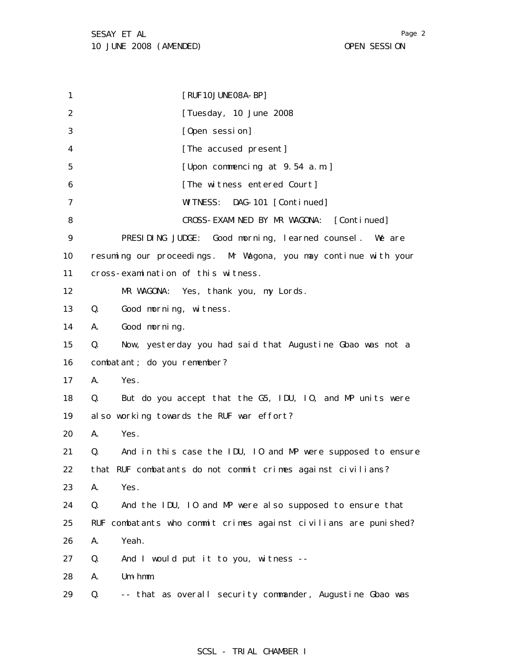1 2 3 4 5 6 7 8 9 10 11 12 13 14 15 16 17 18 19 20 21 22 23 24 25 26 27 28 29 [RUF10JUNE08A-BP] [Tuesday, 10 June 2008 [Open session] [The accused present] [Upon commencing at 9.54 a.m.] [The witness entered Court] WITNESS: DAG-101 [Continued] CROSS-EXAMINED BY MR WAGONA: [Continued] PRESIDING JUDGE: Good morning, learned counsel. We are resuming our proceedings. Mr Wagona, you may continue with your cross-examination of this witness. MR WAGONA: Yes, thank you, my Lords. Q. Good morning, witness. A. Good morning. Q. Now, yesterday you had said that Augustine Gbao was not a combatant; do you remember? A. Yes. Q. But do you accept that the G5, IDU, IO, and MP units were also working towards the RUF war effort? A. Yes. Q. And in this case the IDU, IO and MP were supposed to ensure that RUF combatants do not commit crimes against civilians? A. Yes. Q. And the IDU, IO and MP were also supposed to ensure that RUF combatants who commit crimes against civilians are punished? A. Yeah. Q. And I would put it to you, witness -- A. Um-hmm. Q. -- that as overall security commander, Augustine Gbao was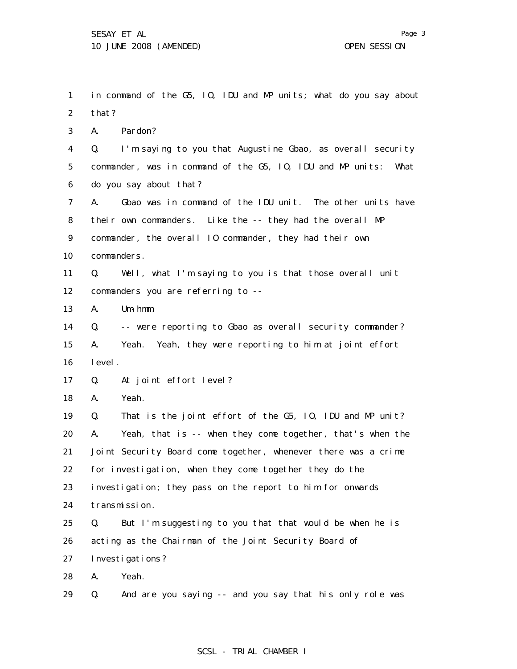1 2 3 4 5 6 7 8 9 10 11 12 13 14 15 16 17 18 19 20 21 22 23 24 25 26 27 28 29 in command of the G5, IO, IDU and MP units; what do you say about that? A. Pardon? Q. I'm saying to you that Augustine Gbao, as overall security commander, was in command of the G5, IO, IDU and MP units: What do you say about that? A. Gbao was in command of the IDU unit. The other units have their own commanders. Like the -- they had the overall MP commander, the overall IO commander, they had their own commanders. Q. Well, what I'm saying to you is that those overall unit commanders you are referring to -- A. Um-hmm. Q. -- were reporting to Gbao as overall security commander? A. Yeah. Yeah, they were reporting to him at joint effort level. Q. At joint effort level? A. Yeah. Q. That is the joint effort of the G5, IO, IDU and MP unit? A. Yeah, that is -- when they come together, that's when the Joint Security Board come together, whenever there was a crime for investigation, when they come together they do the investigation; they pass on the report to him for onwards transmission. Q. But I'm suggesting to you that that would be when he is acting as the Chairman of the Joint Security Board of Investigations? A. Yeah. Q. And are you saying -- and you say that his only role was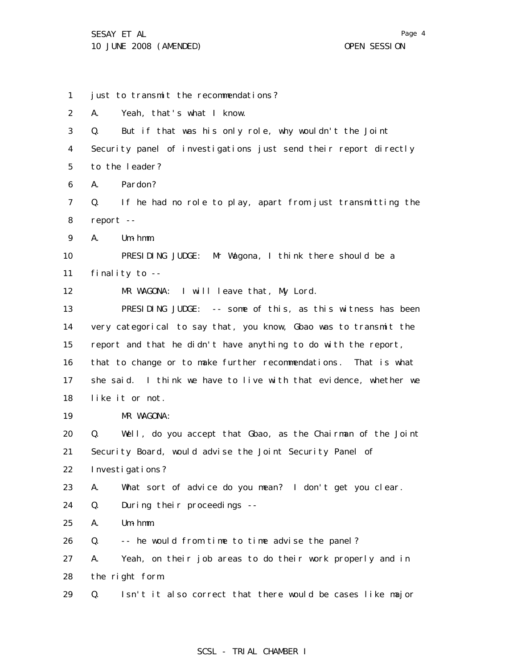1 2 3 4 5 6 7 8 9 10 11 12 13 14 15 16 17 18 19 20 21 22 23 24 25 26 27 28 29 just to transmit the recommendations? A. Yeah, that's what I know. Q. But if that was his only role, why wouldn't the Joint Security panel of investigations just send their report directly to the leader? A. Pardon? Q. If he had no role to play, apart from just transmitting the report -- A. Um-hmm. PRESIDING JUDGE: Mr Wagona, I think there should be a finality to -- MR WAGONA: I will leave that, My Lord. PRESIDING JUDGE: -- some of this, as this witness has been very categorical to say that, you know, Gbao was to transmit the report and that he didn't have anything to do with the report, that to change or to make further recommendations. That is what she said. I think we have to live with that evidence, whether we like it or not. MR WAGONA: Q. Well, do you accept that Gbao, as the Chairman of the Joint Security Board, would advise the Joint Security Panel of Investigations? A. What sort of advice do you mean? I don't get you clear. Q. During their proceedings -- A. Um-hmm. Q. -- he would from time to time advise the panel? A. Yeah, on their job areas to do their work properly and in the right form. Q. Isn't it also correct that there would be cases like major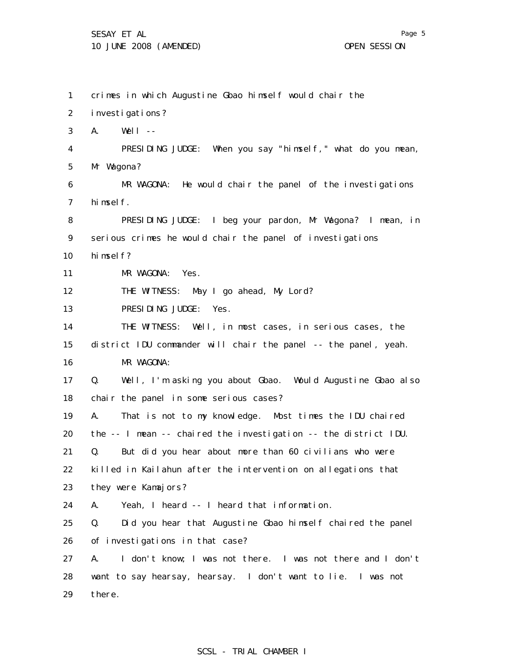1 2 3 4 5 6 7 8 9 10 11 12 13 14 15 16 17 18 19 20 21 22 23 24 25 26 27 28 29 crimes in which Augustine Gbao himself would chair the investigations? A. Well -- PRESIDING JUDGE: When you say "himself," what do you mean, Mr Wagona? MR WAGONA: He would chair the panel of the investigations himself. PRESIDING JUDGE: I beg your pardon, Mr Wagona? I mean, in serious crimes he would chair the panel of investigations himself? MR WAGONA: Yes. THE WITNESS: May I go ahead, My Lord? PRESIDING JUDGE: Yes. THE WITNESS: Well, in most cases, in serious cases, the district IDU commander will chair the panel -- the panel, yeah. MR WAGONA: Q. Well, I'm asking you about Gbao. Would Augustine Gbao also chair the panel in some serious cases? A. That is not to my knowledge. Most times the IDU chaired the -- I mean -- chaired the investigation -- the district IDU. Q. But did you hear about more than 60 civilians who were killed in Kailahun after the intervention on allegations that they were Kamajors? A. Yeah, I heard -- I heard that information. Q. Did you hear that Augustine Gbao himself chaired the panel of investigations in that case? A. I don't know; I was not there. I was not there and I don't want to say hearsay, hearsay. I don't want to lie. I was not there.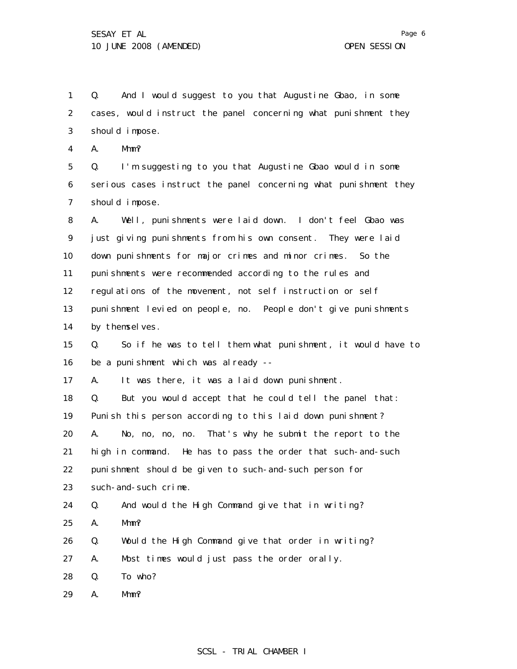1 2 3 4 Q. And I would suggest to you that Augustine Gbao, in some cases, would instruct the panel concerning what punishment they should impose. A. Mmm?

5 6 7 Q. I'm suggesting to you that Augustine Gbao would in some serious cases instruct the panel concerning what punishment they should impose.

8 9 10 11 12 13 14 A. Well, punishments were laid down. I don't feel Gbao was just giving punishments from his own consent. They were laid down punishments for major crimes and minor crimes. So the punishments were recommended according to the rules and regulations of the movement, not self instruction or self punishment levied on people, no. People don't give punishments by themselves.

15 16 Q. So if he was to tell them what punishment, it would have to be a punishment which was already --

17 A. It was there, it was a laid down punishment.

18 19 Q. But you would accept that he could tell the panel that: Punish this person according to this laid down punishment?

20 21 22 A. No, no, no, no. That's why he submit the report to the high in command. He has to pass the order that such-and-such punishment should be given to such-and-such person for

23 such-and-such crime.

24 Q. And would the High Command give that in writing?

- 25 A. Mmm?
- 26 Q. Would the High Command give that order in writing?
- 27 A. Most times would just pass the order orally.

28 Q. To who?

29 A. Mmm?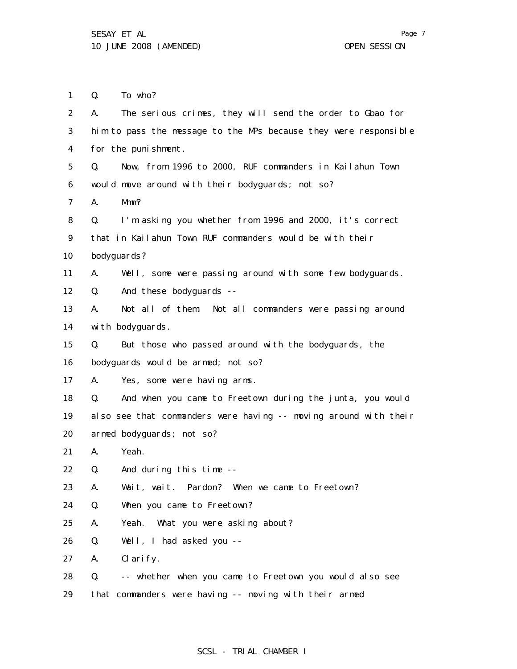1 Q. To who?

| 2  | The serious crimes, they will send the order to Gbao for<br>А.    |
|----|-------------------------------------------------------------------|
| 3  | him to pass the message to the MPs because they were responsible  |
| 4  | for the punishment.                                               |
| 5  | Now, from 1996 to 2000, RUF commanders in Kailahun Town<br>Q.     |
| 6  | would move around with their bodyguards; not so?                  |
| 7  | А.<br>Mmm?                                                        |
| 8  | I'm asking you whether from 1996 and 2000, it's correct<br>Q.     |
| 9  | that in Kailahun Town RUF commanders would be with their          |
| 10 | bodyguards?                                                       |
| 11 | Well, some were passing around with some few bodyguards.<br>А.    |
| 12 | And these bodyguards --<br>Q.                                     |
| 13 | Not all of them. Not all commanders were passing around<br>А.     |
| 14 | with bodyguards.                                                  |
| 15 | But those who passed around with the bodyguards, the<br>Q.        |
| 16 | bodyguards would be armed; not so?                                |
| 17 | Yes, some were having arms.<br>А.                                 |
| 18 | And when you came to Freetown during the junta, you would<br>Q.   |
| 19 | al so see that commanders were having -- moving around with their |
| 20 | armed bodyguards; not so?                                         |
| 21 | Yeah.<br>А.                                                       |
| 22 | And during this time --<br>Q.                                     |
| 23 | Wait, wait. Pardon? When we came to Freetown?<br>А.               |
| 24 | When you came to Freetown?<br>Q.                                  |
| 25 | Α.<br>Yeah. What you were asking about?                           |
| 26 | Q.<br>Well, I had asked you --                                    |
| 27 | Α.<br>Clarify.                                                    |
| 28 | -- whether when you came to Freetown you would also see<br>Q.     |
| 29 | that commanders were having -- moving with their armed            |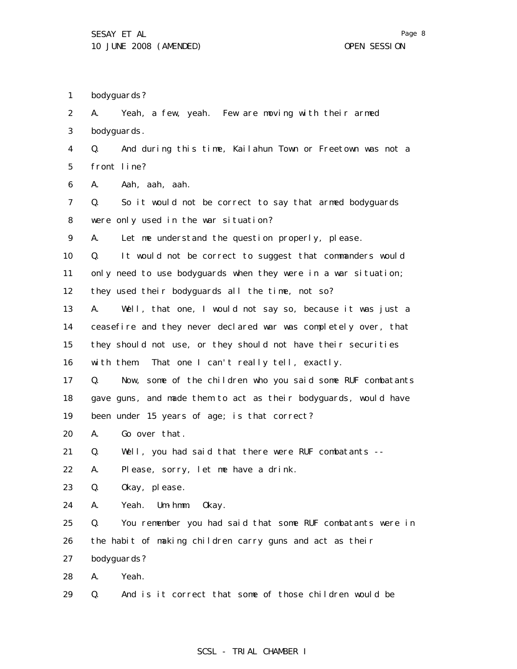1 bodyguards?

2 3 4 5 6 7 8 9 10 11 12 13 14 15 16 17 18 19 20 21 22 23 24 25 26 27 28 29 A. Yeah, a few, yeah. Few are moving with their armed bodyguards. Q. And during this time, Kailahun Town or Freetown was not a front line? A. Aah, aah, aah. Q. So it would not be correct to say that armed bodyguards were only used in the war situation? A. Let me understand the question properly, please. Q. It would not be correct to suggest that commanders would only need to use bodyguards when they were in a war situation; they used their bodyguards all the time, not so? A. Well, that one, I would not say so, because it was just a ceasefire and they never declared war was completely over, that they should not use, or they should not have their securities with them. That one I can't really tell, exactly. Q. Now, some of the children who you said some RUF combatants gave guns, and made them to act as their bodyguards, would have been under 15 years of age; is that correct? A. Go over that. Q. Well, you had said that there were RUF combatants -- A. Please, sorry, let me have a drink. Q. Okay, please. A. Yeah. Um-hmm. Okay. Q. You remember you had said that some RUF combatants were in the habit of making children carry guns and act as their bodyguards? A. Yeah. Q. And is it correct that some of those children would be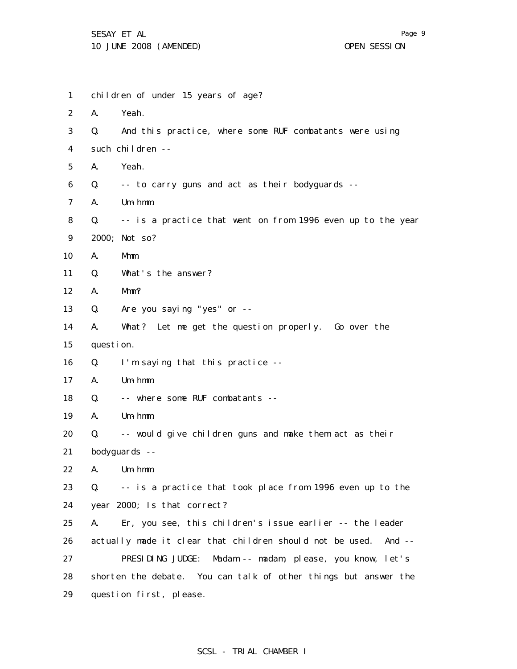1 2 3 4 5 6 7 8 9 10 11 12 13 14 15 16 17 18 19 20 21 22 23 24 25 26 27 28 29 children of under 15 years of age? A. Yeah. Q. And this practice, where some RUF combatants were using such children -- A. Yeah. Q. -- to carry guns and act as their bodyguards -- A. Um-hmm. Q. -- is a practice that went on from 1996 even up to the year 2000; Not so? A. Mmm. Q. What's the answer? A. Mmm? Q. Are you saying "yes" or -- A. What? Let me get the question properly. Go over the question. Q. I'm saying that this practice -- A. Um-hmm. Q. -- where some RUF combatants -- A. Um-hmm. Q. -- would give children guns and make them act as their bodyguards -- A. Um-hmm. Q. -- is a practice that took place from 1996 even up to the year 2000; Is that correct? A. Er, you see, this children's issue earlier -- the leader actually made it clear that children should not be used. And -- PRESIDING JUDGE: Madam -- madam, please, you know, let's shorten the debate. You can talk of other things but answer the question first, please.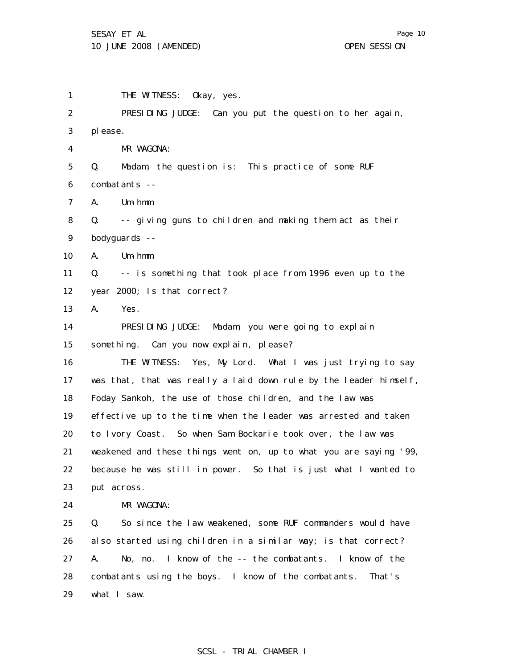Page 10

1 2 3 4 5 6 7 8 9 10 11 12 13 14 15 16 17 18 19 20 21 22 23 24 25 26 27 28 29 THE WITNESS: Okay, yes. PRESIDING JUDGE: Can you put the question to her again, please. MR WAGONA: Q. Madam, the question is: This practice of some RUF combatants -- A. Um-hmm. Q. -- giving guns to children and making them act as their bodyguards -- A. Um-hmm. Q. -- is something that took place from 1996 even up to the year 2000; Is that correct? A. Yes. PRESIDING JUDGE: Madam, you were going to explain something. Can you now explain, please? THE WITNESS: Yes, My Lord. What I was just trying to say was that, that was really a laid down rule by the leader himself, Foday Sankoh, the use of those children, and the law was effective up to the time when the leader was arrested and taken to Ivory Coast. So when Sam Bockarie took over, the law was weakened and these things went on, up to what you are saying '99, because he was still in power. So that is just what I wanted to put across. MR WAGONA: Q. So since the law weakened, some RUF commanders would have also started using children in a similar way; is that correct? A. No, no. I know of the -- the combatants. I know of the combatants using the boys. I know of the combatants. That's what I saw.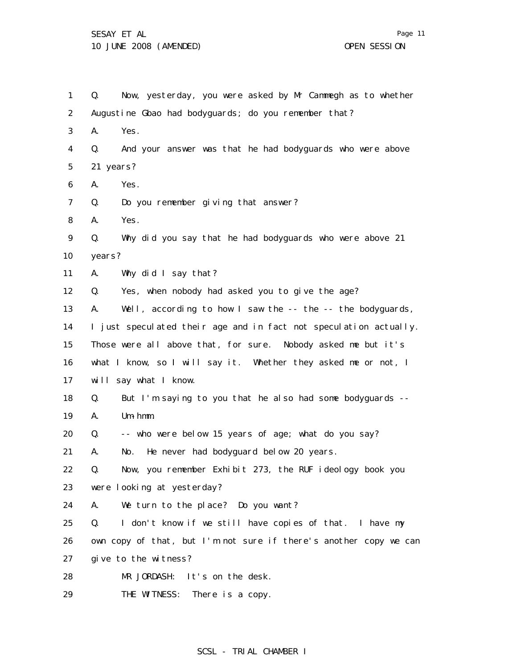1 2 3 4 5 6 7 8 9 10 11 12 13 14 15 16 17 18 19 20 21 22 23 24 25 26 27 28 Q. Now, yesterday, you were asked by Mr Cammegh as to whether Augustine Gbao had bodyguards; do you remember that? A. Yes. Q. And your answer was that he had bodyguards who were above 21 years? A. Yes. Q. Do you remember giving that answer? A. Yes. Q. Why did you say that he had bodyguards who were above 21 years? A. Why did I say that? Q. Yes, when nobody had asked you to give the age? A. Well, according to how I saw the -- the -- the bodyguards, I just speculated their age and in fact not speculation actually. Those were all above that, for sure. Nobody asked me but it's what I know, so I will say it. Whether they asked me or not, I will say what I know. Q. But I'm saying to you that he also had some bodyguards -- A. Um-hmm. Q. -- who were below 15 years of age; what do you say? A. No. He never had bodyguard below 20 years. Q. Now, you remember Exhibit 273, the RUF ideology book you were looking at yesterday? A. We turn to the place? Do you want? Q. I don't know if we still have copies of that. I have my own copy of that, but I'm not sure if there's another copy we can give to the witness? MR JORDASH: It's on the desk.

29 THE WITNESS: There is a copy. Page 11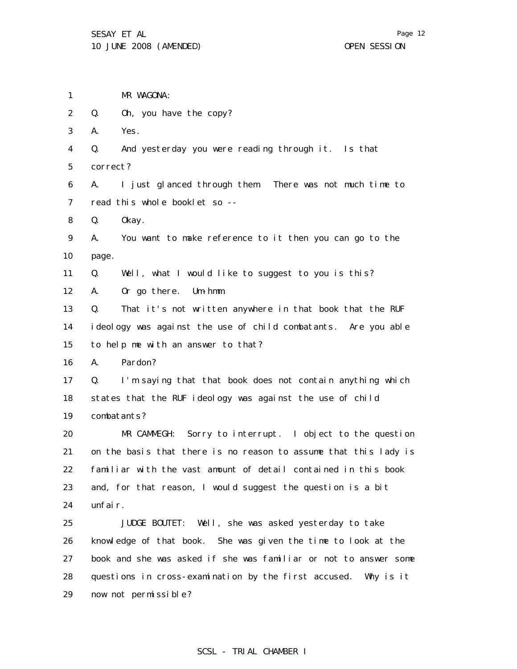1 MR WAGONA:

2 Q. Oh, you have the copy?

3 A. Yes.

4 Q. And yesterday you were reading through it. Is that

5 correct?

6 7 A. I just glanced through them. There was not much time to read this whole booklet so --

8 Q. Okay.

9 10 A. You want to make reference to it then you can go to the page.

11 Q. Well, what I would like to suggest to you is this?

12 A. Or go there. Um-hmm.

13 14 15 Q. That it's not written anywhere in that book that the RUF ideology was against the use of child combatants. Are you able to help me with an answer to that?

16 A. Pardon?

17 18 19 Q. I'm saying that that book does not contain anything which states that the RUF ideology was against the use of child combatants?

20 21 22 23 24 MR CAMMEGH: Sorry to interrupt. I object to the question on the basis that there is no reason to assume that this lady is familiar with the vast amount of detail contained in this book and, for that reason, I would suggest the question is a bit unfair.

25 26 27 28 29 JUDGE BOUTET: Well, she was asked yesterday to take knowledge of that book. She was given the time to look at the book and she was asked if she was familiar or not to answer some questions in cross-examination by the first accused. Why is it now not permissible?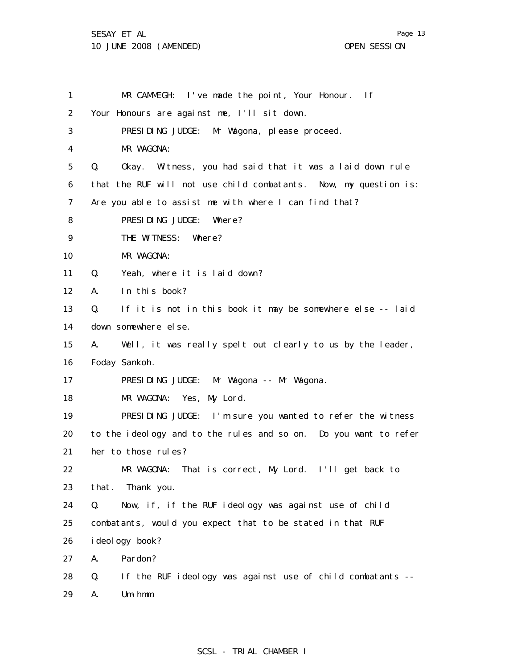1 2 3 4 5 6 7 8 9 10 11 12 13 14 15 16 17 18 19 20 21 22 23 24 25 26 27 28 29 MR CAMMEGH: I've made the point, Your Honour. If Your Honours are against me, I'll sit down. PRESIDING JUDGE: Mr Wagona, please proceed. MR WAGONA: Q. Okay. Witness, you had said that it was a laid down rule that the RUF will not use child combatants. Now, my question is: Are you able to assist me with where I can find that? PRESIDING JUDGE: Where? THE WITNESS: Where? MR WAGONA: Q. Yeah, where it is laid down? A. In this book? Q. If it is not in this book it may be somewhere else -- laid down somewhere else. A. Well, it was really spelt out clearly to us by the leader, Foday Sankoh. PRESIDING JUDGE: Mr Wagona -- Mr Wagona. MR WAGONA: Yes, My Lord. PRESIDING JUDGE: I'm sure you wanted to refer the witness to the ideology and to the rules and so on. Do you want to refer her to those rules? MR WAGONA: That is correct, My Lord. I'll get back to that. Thank you. Q. Now, if, if the RUF ideology was against use of child combatants, would you expect that to be stated in that RUF ideology book? A. Pardon? Q. If the RUF ideology was against use of child combatants -- A. Um-hmm.

Page 13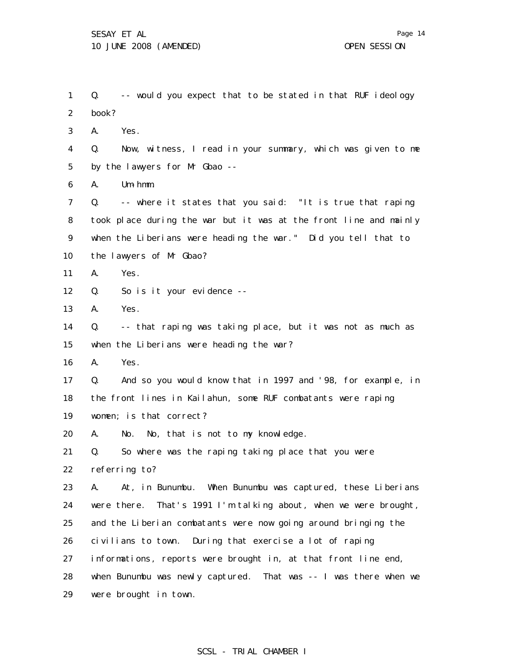1 2 3 4 5 6 7 8 9 10 11 12 13 14 15 16 17 18 19 20 21 22 23 24 25 26 27 28 Q. -- would you expect that to be stated in that RUF ideology book? A. Yes. Q. Now, witness, I read in your summary, which was given to me by the lawyers for Mr Gbao -- A. Um-hmm. Q. -- where it states that you said: "It is true that raping took place during the war but it was at the front line and mainly when the Liberians were heading the war." Did you tell that to the lawyers of Mr Gbao? A. Yes. Q. So is it your evidence -- A. Yes. Q. -- that raping was taking place, but it was not as much as when the Liberians were heading the war? A. Yes. Q. And so you would know that in 1997 and '98, for example, in the front lines in Kailahun, some RUF combatants were raping women; is that correct? A. No. No, that is not to my knowledge. Q. So where was the raping taking place that you were referring to? A. At, in Bunumbu. When Bunumbu was captured, these Liberians were there. That's 1991 I'm talking about, when we were brought, and the Liberian combatants were now going around bringing the civilians to town. During that exercise a lot of raping informations, reports were brought in, at that front line end, when Bunumbu was newly captured. That was -- I was there when we

29 were brought in town.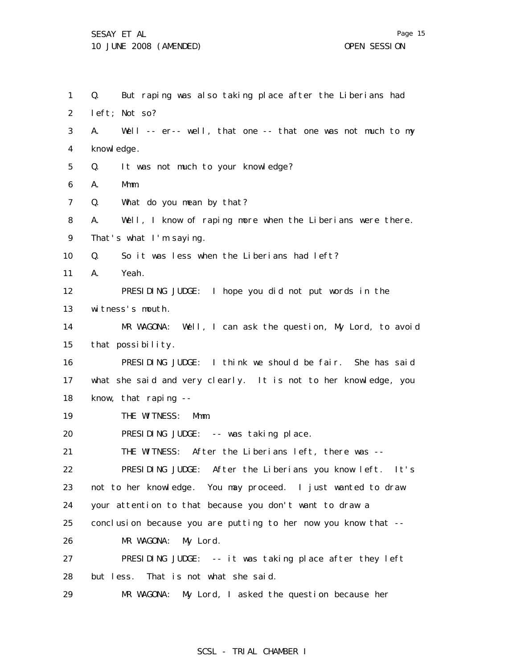29

MR WAGONA: My Lord, I asked the question because her

1 2 3 4 5 6 7 8 9 10 11 12 13 14 15 16 17 18 19 20 21 22 23 24 25 26 27 28 Q. But raping was also taking place after the Liberians had left; Not so? A. Well -- er-- well, that one -- that one was not much to my knowl edge. Q. It was not much to your knowledge? A. Mmm. Q. What do you mean by that? A. Well, I know of raping more when the Liberians were there. That's what I'm saying. Q. So it was less when the Liberians had left? A. Yeah. PRESIDING JUDGE: I hope you did not put words in the witness's mouth. MR WAGONA: Well, I can ask the question, My Lord, to avoid that possibility. PRESIDING JUDGE: I think we should be fair. She has said what she said and very clearly. It is not to her knowledge, you know, that raping -- THE WITNESS: Mmm. PRESIDING JUDGE: -- was taking place. THE WITNESS: After the Liberians left, there was -- PRESIDING JUDGE: After the Liberians you know left. It's not to her knowledge. You may proceed. I just wanted to draw your attention to that because you don't want to draw a conclusion because you are putting to her now you know that -- MR WAGONA: My Lord. PRESIDING JUDGE: -- it was taking place after they left but less. That is not what she said.

Page 15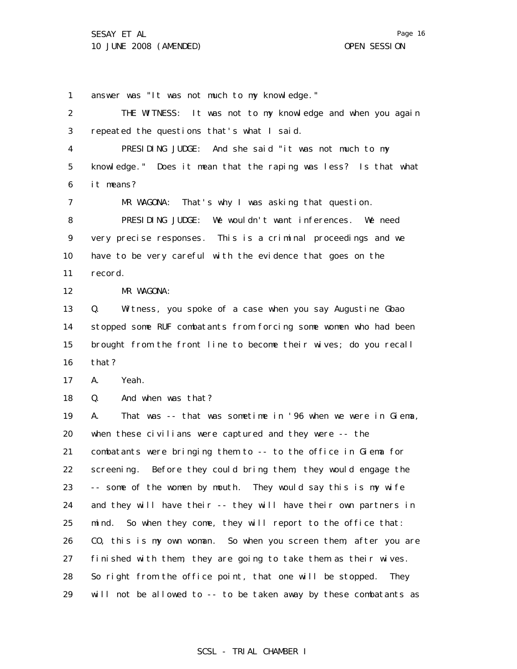1 2 3 4 5 6 7 8 9 10 11 12 13 14 15 16 17 18 19 20 21 22 23 24 25 26 27 28 29 answer was "It was not much to my knowledge." THE WITNESS: It was not to my knowledge and when you again repeated the questions that's what I said. PRESIDING JUDGE: And she said "it was not much to my knowledge." Does it mean that the raping was less? Is that what it means? MR WAGONA: That's why I was asking that question. PRESIDING JUDGE: We wouldn't want inferences. We need very precise responses. This is a criminal proceedings and we have to be very careful with the evidence that goes on the record. MR WAGONA: Q. Witness, you spoke of a case when you say Augustine Gbao stopped some RUF combatants from forcing some women who had been brought from the front line to become their wives; do you recall that? A. Yeah. Q. And when was that? A. That was -- that was sometime in '96 when we were in Giema, when these civilians were captured and they were -- the combatants were bringing them to -- to the office in Giema for screening. Before they could bring them, they would engage the -- some of the women by mouth. They would say this is my wife and they will have their -- they will have their own partners in mind. So when they come, they will report to the office that: CO, this is my own woman. So when you screen them, after you are finished with them, they are going to take them as their wives. So right from the office point, that one will be stopped. They will not be allowed to -- to be taken away by these combatants as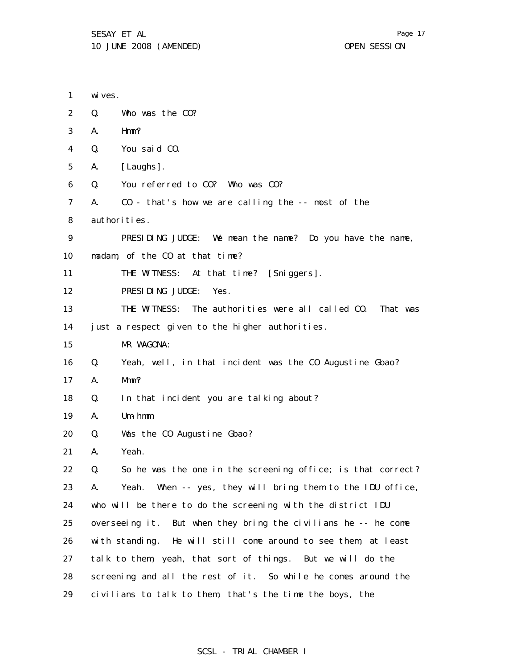1 2 3 4 5 6 7 8 9 10 11 12 13 14 15 16 17 18 19 20 21 22 23 24 25 26 27 28 wi ves. Q. Who was the CO? A. Hmm? Q. You said CO. A. [Laughs]. Q. You referred to CO? Who was CO? A. CO - that's how we are calling the -- most of the authorities. PRESIDING JUDGE: We mean the name? Do you have the name, madam, of the CO at that time? THE WITNESS: At that time? [Sniggers]. PRESIDING JUDGE: Yes. THE WITNESS: The authorities were all called CO. That was just a respect given to the higher authorities. MR WAGONA: Q. Yeah, well, in that incident was the CO Augustine Gbao? A. Mmm? Q. In that incident you are talking about? A. Um-hmm. Q. Was the CO Augustine Gbao? A. Yeah. Q. So he was the one in the screening office; is that correct? A. Yeah. When -- yes, they will bring them to the IDU office, who will be there to do the screening with the district IDU overseeing it. But when they bring the civilians he -- he come with standing. He will still come around to see them, at least talk to them, yeah, that sort of things. But we will do the screening and all the rest of it. So while he comes around the

29 civilians to talk to them, that's the time the boys, the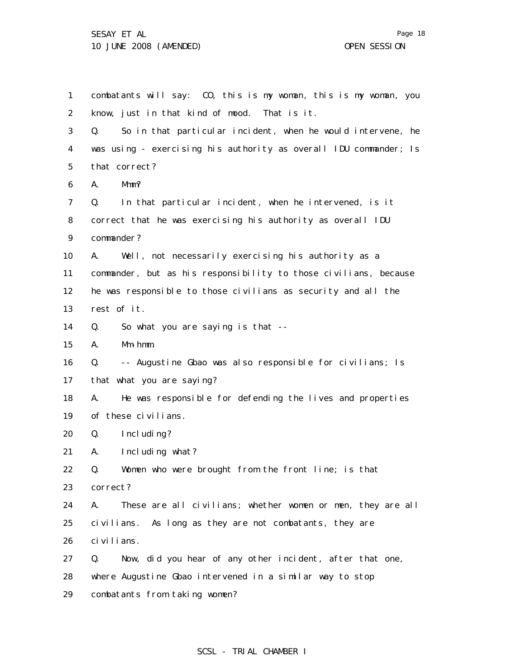1 2 3 4 5 6 7 8 9 10 11 12 13 14 15 16 17 18 19 20 21 22 23 24 25 26 27 28 29 combatants will say: CO, this is my woman, this is my woman, you know, just in that kind of mood. That is it. Q. So in that particular incident, when he would intervene, he was using - exercising his authority as overall IDU commander; Is that correct? A. Mmm? Q. In that particular incident, when he intervened, is it correct that he was exercising his authority as overall IDU commander? A. Well, not necessarily exercising his authority as a commander, but as his responsibility to those civilians, because he was responsible to those civilians as security and all the rest of it. Q. So what you are saying is that -- A. Mm-hmm. Q. -- Augustine Gbao was also responsible for civilians; Is that what you are saying? A. He was responsible for defending the lives and properties of these civilians. Q. Including? A. Including what? Q. Women who were brought from the front line; is that correct? A. These are all civilians; whether women or men, they are all civilians. As long as they are not combatants, they are civilians. Q. Now, did you hear of any other incident, after that one, where Augustine Gbao intervened in a similar way to stop combatants from taking women?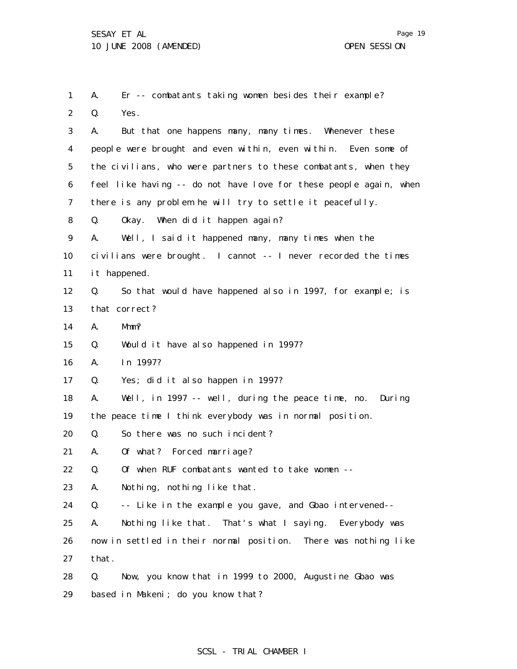1 2 3 4 5 6 7 8 9 10 11 12 13 14 15 16 17 18 19 20 21 22 23 24 25 26 27 28 29 A. Er -- combatants taking women besides their example? Q. Yes. A. But that one happens many, many times. Whenever these people were brought and even within, even within. Even some of the civilians, who were partners to these combatants, when they feel like having -- do not have love for these people again, when there is any problem he will try to settle it peacefully. Q. Okay. When did it happen again? A. Well, I said it happened many, many times when the civilians were brought. I cannot -- I never recorded the times it happened. Q. So that would have happened also in 1997, for example; is that correct? A. Mmm? Q. Would it have also happened in 1997? A. In 1997? Q. Yes; did it also happen in 1997? A. Well, in 1997 -- well, during the peace time, no. During the peace time I think everybody was in normal position. Q. So there was no such incident? A. Of what? Forced marriage? Q. Of when RUF combatants wanted to take women -- A. Nothing, nothing like that. Q. -- Like in the example you gave, and Gbao intervened-- A. Nothing like that. That's what I saying. Everybody was now in settled in their normal position. There was nothing like that. Q. Now, you know that in 1999 to 2000, Augustine Gbao was based in Makeni; do you know that?

Page 19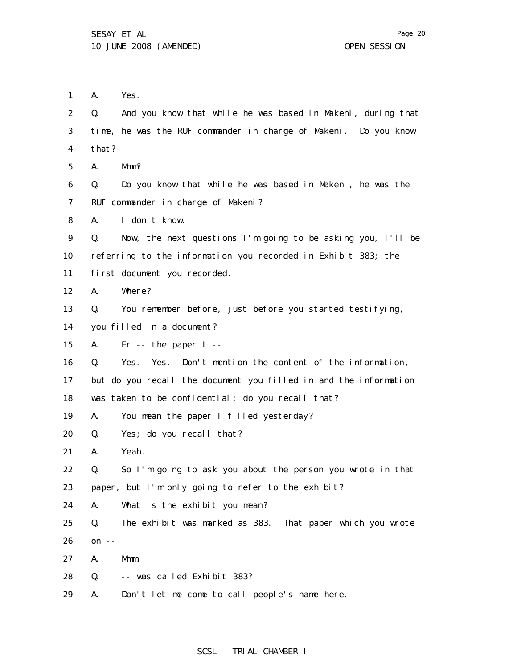1 A. Yes.

2 3 4 5 6 7 8 9 10 11 12 13 14 15 16 17 18 19 20 21 22 23 24 25 26 27 28 29 Q. And you know that while he was based in Makeni, during that time, he was the RUF commander in charge of Makeni. Do you know that? A. Mmm? Q. Do you know that while he was based in Makeni, he was the RUF commander in charge of Makeni? A. I don't know. Q. Now, the next questions I'm going to be asking you, I'll be referring to the information you recorded in Exhibit 383; the first document you recorded. A. Where? Q. You remember before, just before you started testifying, you filled in a document? A. Er -- the paper I -- Q. Yes. Yes. Don't mention the content of the information, but do you recall the document you filled in and the information was taken to be confidential; do you recall that? A. You mean the paper I filled yesterday? Q. Yes; do you recall that? A. Yeah. Q. So I'm going to ask you about the person you wrote in that paper, but I'm only going to refer to the exhibit? A. What is the exhibit you mean? Q. The exhibit was marked as 383. That paper which you wrote on  $--$ A. Mmm. Q. -- was called Exhibit 383? A. Don't let me come to call people's name here.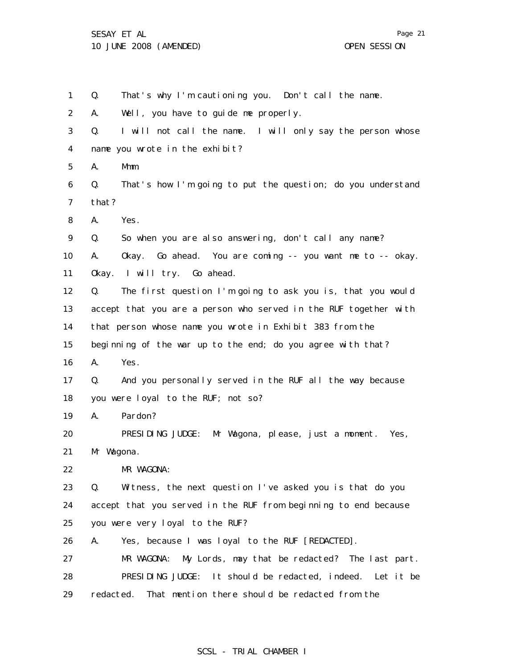1 2 3 4 5 6 7 8 9 10 11 12 13 14 15 16 17 18 19 20 21 22 23 24 25 26 27 28 29 Q. That's why I'm cautioning you. Don't call the name. A. Well, you have to guide me properly. Q. I will not call the name. I will only say the person whose name you wrote in the exhibit? A. Mmm. Q. That's how I'm going to put the question; do you understand that? A. Yes. Q. So when you are also answering, don't call any name? A. Okay. Go ahead. You are coming -- you want me to -- okay. Okay. I will try. Go ahead. Q. The first question I'm going to ask you is, that you would accept that you are a person who served in the RUF together with that person whose name you wrote in Exhibit 383 from the beginning of the war up to the end; do you agree with that? A. Yes. Q. And you personally served in the RUF all the way because you were loyal to the RUF; not so? A. Pardon? PRESIDING JUDGE: Mr Wagona, please, just a moment. Yes, Mr Wagona. MR WAGONA: Q. Witness, the next question I've asked you is that do you accept that you served in the RUF from beginning to end because you were very loyal to the RUF? A. Yes, because I was loyal to the RUF [REDACTED]. MR WAGONA: My Lords, may that be redacted? The last part. PRESIDING JUDGE: It should be redacted, indeed. Let it be redacted. That mention there should be redacted from the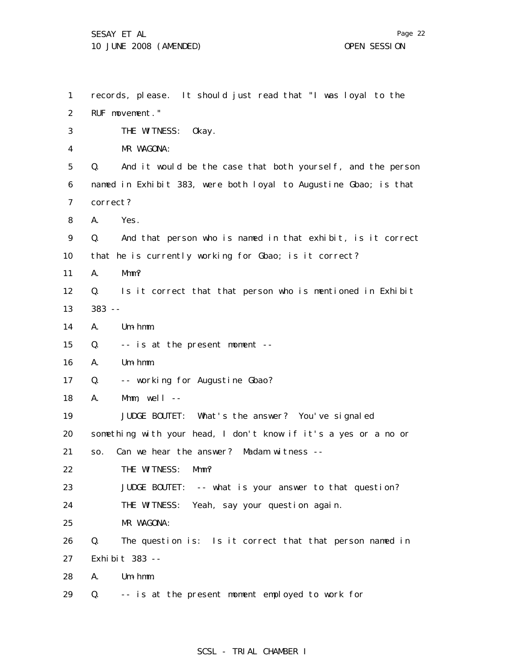Page 22

1 2 3 4 5 6 7 8 9 10 11 12 13 14 15 16 17 18 19 20 21 22 23 24 25 26 27 28 29 records, please. It should just read that "I was loyal to the RUF movement." THE WITNESS: Okay. MR WAGONA: Q. And it would be the case that both yourself, and the person named in Exhibit 383, were both loyal to Augustine Gbao; is that correct? A. Yes. Q. And that person who is named in that exhibit, is it correct that he is currently working for Gbao; is it correct? A. Mmm? Q. Is it correct that that person who is mentioned in Exhibit 383 -- A. Um-hmm. Q. -- is at the present moment -- A. Um-hmm. Q. -- working for Augustine Gbao? A. Mmm,  $well$  --JUDGE BOUTET: What's the answer? You've signaled something with your head, I don't know if it's a yes or a no or so. Can we hear the answer? Madam witness -- THE WITNESS: Mmm? JUDGE BOUTET: -- what is your answer to that question? THE WITNESS: Yeah, say your question again. MR WAGONA: Q. The question is: Is it correct that that person named in Exhibit 383 -- A. Um-hmm. Q. -- is at the present moment employed to work for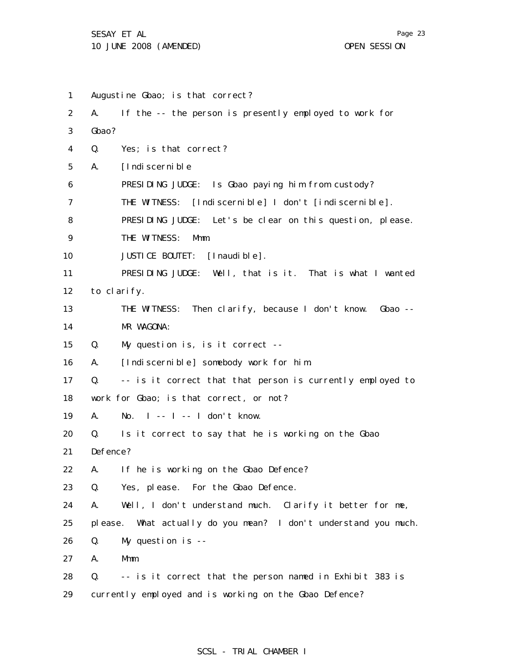1 2 3 4 5 6 7 8 9 10 11 12 13 14 15 16 17 18 19 20 21 22 23 24 25 26 27 28 29 Augustine Gbao; is that correct? A. If the -- the person is presently employed to work for Gbao? Q. Yes; is that correct? A. [Indiscernible PRESIDING JUDGE: Is Gbao paying him from custody? THE WITNESS: [Indiscernible] I don't [indiscernible]. PRESIDING JUDGE: Let's be clear on this question, please. THE WITNESS: Mmm. JUSTICE BOUTET: [Inaudible]. PRESIDING JUDGE: Well, that is it. That is what I wanted to clarify. THE WITNESS: Then clarify, because I don't know. Gbao -- MR WAGONA: Q. My question is, is it correct -- A. [Indiscernible] somebody work for him. Q. -- is it correct that that person is currently employed to work for Gbao; is that correct, or not? A. No. I -- I -- I don't know. Q. Is it correct to say that he is working on the Gbao Defence? A. If he is working on the Gbao Defence? Q. Yes, please. For the Gbao Defence. A. Well, I don't understand much. Clarify it better for me, please. What actually do you mean? I don't understand you much. Q. My question is -- A. Mmm. Q. -- is it correct that the person named in Exhibit 383 is currently employed and is working on the Gbao Defence?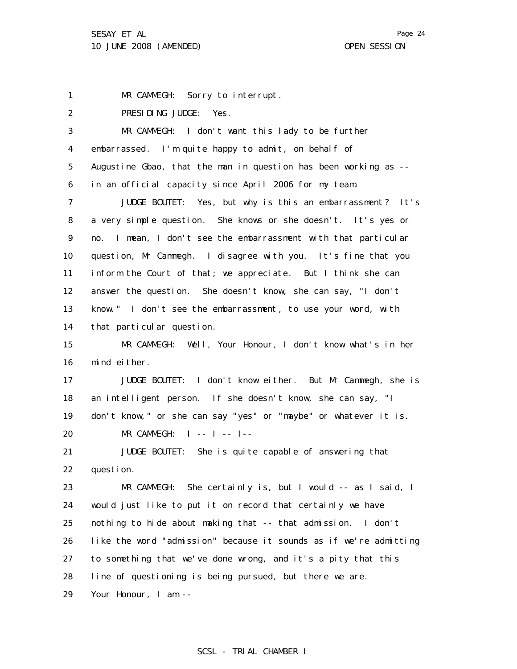1 MR CAMMEGH: Sorry to interrupt.

2 PRESIDING JUDGE: Yes.

| 3               | MR CAMMEGH: I don't want this lady to be further                  |
|-----------------|-------------------------------------------------------------------|
| 4               | embarrassed. I'm quite happy to admit, on behalf of               |
| 5               | Augustine Gbao, that the man in question has been working as --   |
| 6               | in an official capacity since April 2006 for my team.             |
| 7               | JUDGE BOUTET: Yes, but why is this an embarrassment? It's         |
| 8               | a very simple question. She knows or she doesn't. It's yes or     |
| 9               | I mean, I don't see the embarrassment with that particular<br>no. |
| 10 <sup>°</sup> | question, Mr Cammegh. I disagree with you. It's fine that you     |
| 11              | inform the Court of that; we appreciate. But I think she can      |
| 12              | answer the question. She doesn't know, she can say, "I don't      |
| 13              | know." I don't see the embarrassment, to use your word, with      |
| 14              | that particular question.                                         |
| 15              | MR CAMMEGH: Well, Your Honour, I don't know what's in her         |
| 16              | mind either.                                                      |
| 17              | JUDGE BOUTET: I don't know either. But Mr Cammegh, she is         |
| 18              | an intelligent person. If she doesn't know, she can say, "I       |
| 19              | don't know," or she can say "yes" or "maybe" or whatever it is.   |
| 20              | MR CAMMEGH: $I$ -- $I$ -- $I$ --                                  |
| 21              | JUDGE BOUTET: She is quite capable of answering that              |
| 22              | question.                                                         |
| 23              | MR CAMMEGH: She certainly is, but I would -- as I said, I         |
| 24              | would just like to put it on record that certainly we have        |
| 25              | nothing to hide about making that -- that admission. I don't      |
| 26              | like the word "admission" because it sounds as if we're admitting |
| 27              | to something that we've done wrong, and it's a pity that this     |
| 28              | line of questioning is being pursued, but there we are.           |
| 29              | Your Honour, I am --                                              |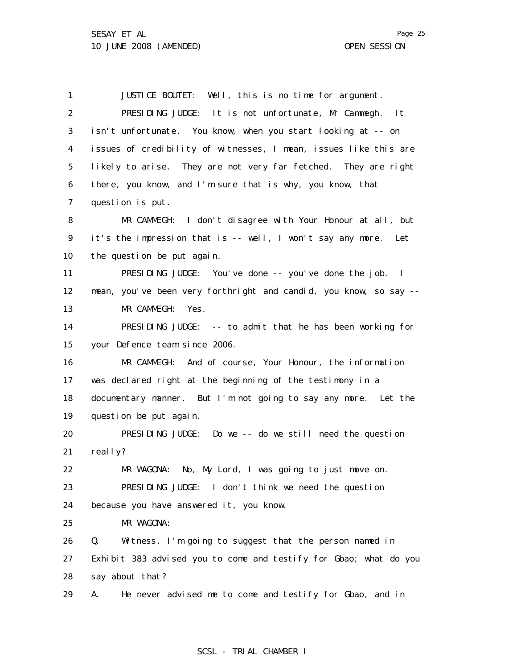1 2 3 4 5 6 7 8 9 10 11 12 13 14 15 16 17 18 19 20 21 22 23 24 25 26 27 28 29 JUSTICE BOUTET: Well, this is no time for argument. PRESIDING JUDGE: It is not unfortunate, Mr Cammegh. It isn't unfortunate. You know, when you start looking at -- on issues of credibility of witnesses, I mean, issues like this are likely to arise. They are not very far fetched. They are right there, you know, and I'm sure that is why, you know, that question is put. MR CAMMEGH: I don't disagree with Your Honour at all, but it's the impression that is -- well, I won't say any more. Let the question be put again. PRESIDING JUDGE: You've done -- you've done the job. I mean, you've been very forthright and candid, you know, so say -- MR CAMMEGH: Yes. PRESIDING JUDGE: -- to admit that he has been working for your Defence team since 2006. MR CAMMEGH: And of course, Your Honour, the information was declared right at the beginning of the testimony in a documentary manner. But I'm not going to say any more. Let the question be put again. PRESIDING JUDGE: Do we -- do we still need the question real I y? MR WAGONA: No, My Lord, I was going to just move on. PRESIDING JUDGE: I don't think we need the question because you have answered it, you know. MR WAGONA: Q. Witness, I'm going to suggest that the person named in Exhibit 383 advised you to come and testify for Gbao; what do you say about that? A. He never advised me to come and testify for Gbao, and in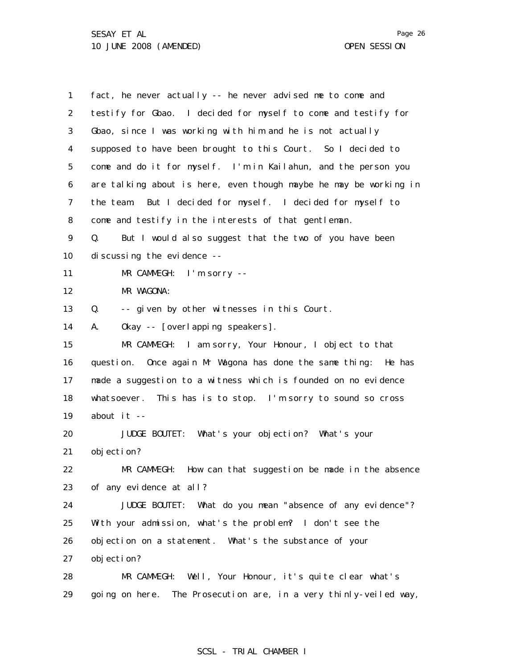1 2 3 4 5 6 7 8 9 10 11 12 13 14 15 16 17 18 19 20 21 22 23 24 25 26 27 28 29 fact, he never actually -- he never advised me to come and testify for Gbao. I decided for myself to come and testify for Gbao, since I was working with him and he is not actually supposed to have been brought to this Court. So I decided to come and do it for myself. I'm in Kailahun, and the person you are talking about is here, even though maybe he may be working in the team. But I decided for myself. I decided for myself to come and testify in the interests of that gentleman. Q. But I would also suggest that the two of you have been discussing the evidence -- MR CAMMEGH: I'm sorry -- MR WAGONA: Q. -- given by other witnesses in this Court. A. Okay -- [overlapping speakers]. MR CAMMEGH: I am sorry, Your Honour, I object to that question. Once again Mr Wagona has done the same thing: He has made a suggestion to a witness which is founded on no evidence whatsoever. This has is to stop. I'm sorry to sound so cross about it -- JUDGE BOUTET: What's your objection? What's your objection? MR CAMMEGH: How can that suggestion be made in the absence of any evidence at all? JUDGE BOUTET: What do you mean "absence of any evidence"? With your admission, what's the problem? I don't see the objection on a statement. What's the substance of your objection? MR CAMMEGH: Well, Your Honour, it's quite clear what's going on here. The Prosecution are, in a very thinly-veiled way,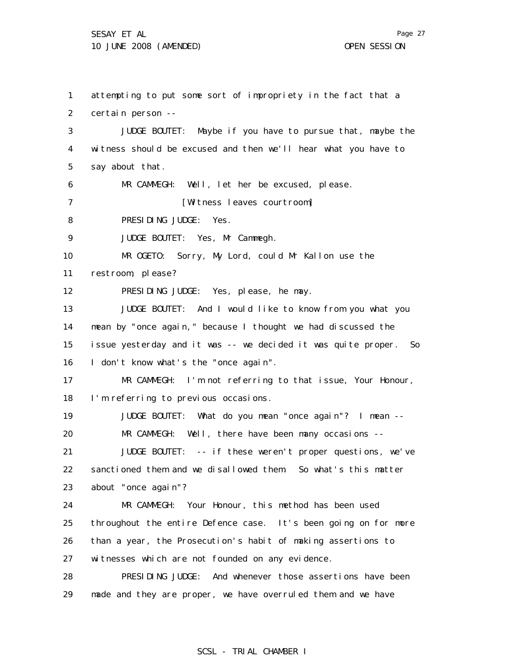1

2 3 4 5 6 7 8 9 10 11 12 13 14 15 16 17 18 19 20 21 22 23 24 25 26 27 28 attempting to put some sort of impropriety in the fact that a certain person -- JUDGE BOUTET: Maybe if you have to pursue that, maybe the witness should be excused and then we'll hear what you have to say about that. MR CAMMEGH: Well, let her be excused, please. [Witness leaves courtroom] PRESIDING JUDGE: Yes. JUDGE BOUTET: Yes, Mr Cammegh. MR OGETO: Sorry, My Lord, could Mr Kallon use the restroom, please? PRESIDING JUDGE: Yes, please, he may. JUDGE BOUTET: And I would like to know from you what you mean by "once again," because I thought we had discussed the issue yesterday and it was -- we decided it was quite proper. So I don't know what's the "once again". MR CAMMEGH: I'm not referring to that issue, Your Honour, I'm referring to previous occasions. JUDGE BOUTET: What do you mean "once again"? I mean -- MR CAMMEGH: Well, there have been many occasions --JUDGE BOUTET: -- if these weren't proper questions, we've sanctioned them and we disallowed them. So what's this matter about "once again"? MR CAMMEGH: Your Honour, this method has been used throughout the entire Defence case. It's been going on for more than a year, the Prosecution's habit of making assertions to witnesses which are not founded on any evidence. PRESIDING JUDGE: And whenever those assertions have been

29 made and they are proper, we have overruled them and we have

Page 27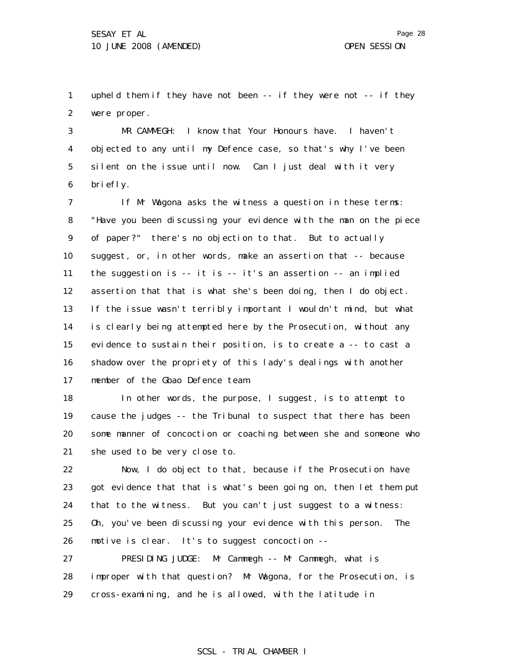1 2 upheld them if they have not been -- if they were not -- if they were proper.

3 4 5 6 MR CAMMEGH: I know that Your Honours have. I haven't objected to any until my Defence case, so that's why I've been silent on the issue until now. Can I just deal with it very briefly.

7 8 9 10 11 12 13 14 15 16 17 If Mr Wagona asks the witness a question in these terms: "Have you been discussing your evidence with the man on the piece of paper?" there's no objection to that. But to actually suggest, or, in other words, make an assertion that -- because the suggestion is -- it is -- it's an assertion -- an implied assertion that that is what she's been doing, then I do object. If the issue wasn't terribly important I wouldn't mind, but what is clearly being attempted here by the Prosecution, without any evidence to sustain their position, is to create a -- to cast a shadow over the propriety of this lady's dealings with another member of the Gbao Defence team.

18 19 20 21 In other words, the purpose, I suggest, is to attempt to cause the judges -- the Tribunal to suspect that there has been some manner of concoction or coaching between she and someone who she used to be very close to.

22 23 24 25 26 Now, I do object to that, because if the Prosecution have got evidence that that is what's been going on, then let them put that to the witness. But you can't just suggest to a witness: Oh, you've been discussing your evidence with this person. The motive is clear. It's to suggest concoction --

27 28 29 PRESIDING JUDGE: Mr Cammegh -- Mr Cammegh, what is improper with that question? Mr Wagona, for the Prosecution, is cross-examining, and he is allowed, with the latitude in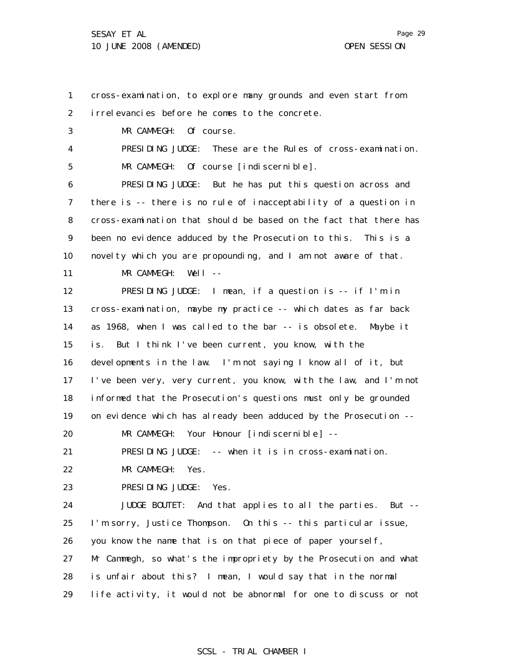1 2 3 4 5 6 7 8 9 10 11 12 13 14 15 16 17 18 19 20 21 22 23 24 25 26 27 28 29 cross-examination, to explore many grounds and even start from irrelevancies before he comes to the concrete. MR CAMMEGH: Of course. PRESIDING JUDGE: These are the Rules of cross-examination. MR CAMMEGH: Of course [indiscernible]. PRESIDING JUDGE: But he has put this question across and there is -- there is no rule of inacceptability of a question in cross-examination that should be based on the fact that there has been no evidence adduced by the Prosecution to this. This is a novelty which you are propounding, and I am not aware of that. MR CAMMEGH: Well --PRESIDING JUDGE: I mean, if a question is -- if I'm in cross-examination, maybe my practice -- which dates as far back as 1968, when I was called to the bar -- is obsolete. Maybe it is. But I think I've been current, you know, with the developments in the law. I'm not saying I know all of it, but I've been very, very current, you know, with the law, and I'm not informed that the Prosecution's questions must only be grounded on evidence which has already been adduced by the Prosecution -- MR CAMMEGH: Your Honour [indiscernible] --PRESIDING JUDGE: -- when it is in cross-examination. MR CAMMEGH: Yes. PRESIDING JUDGE: Yes. JUDGE BOUTET: And that applies to all the parties. But -- I'm sorry, Justice Thompson. On this -- this particular issue, you know the name that is on that piece of paper yourself, Mr Cammegh, so what's the impropriety by the Prosecution and what is unfair about this? I mean, I would say that in the normal life activity, it would not be abnormal for one to discuss or not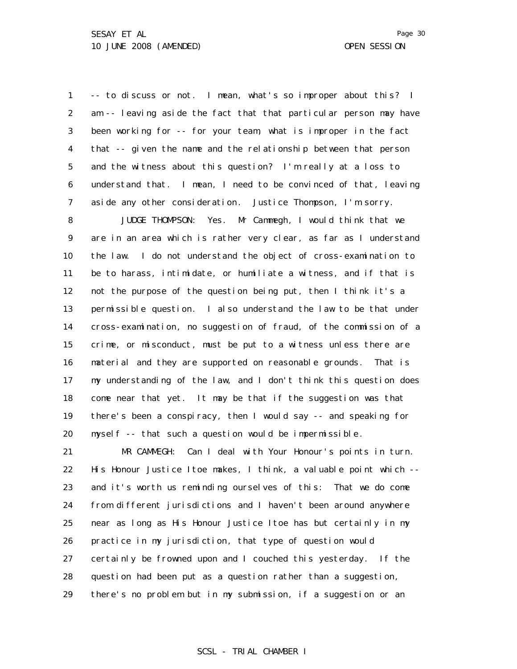1 2 3 4 5 6 7 -- to discuss or not. I mean, what's so improper about this? I am -- leaving aside the fact that that particular person may have been working for -- for your team, what is improper in the fact that -- given the name and the relationship between that person and the witness about this question? I'm really at a loss to understand that. I mean, I need to be convinced of that, leaving aside any other consideration. Justice Thompson, I'm sorry.

8 9 10 11 12 13 14 15 16 17 18 19 20 JUDGE THOMPSON: Yes. Mr Cammegh, I would think that we are in an area which is rather very clear, as far as I understand the law. I do not understand the object of cross-examination to be to harass, intimidate, or humiliate a witness, and if that is not the purpose of the question being put, then I think it's a permissible question. I also understand the law to be that under cross-examination, no suggestion of fraud, of the commission of a crime, or misconduct, must be put to a witness unless there are material and they are supported on reasonable grounds. That is my understanding of the law, and I don't think this question does come near that yet. It may be that if the suggestion was that there's been a conspiracy, then I would say -- and speaking for myself -- that such a question would be impermissible.

21 22 23 24 25 26 27 28 29 MR CAMMEGH: Can I deal with Your Honour's points in turn. His Honour Justice Itoe makes, I think, a valuable point which - and it's worth us reminding ourselves of this: That we do come from different jurisdictions and I haven't been around anywhere near as long as His Honour Justice Itoe has but certainly in my practice in my jurisdiction, that type of question would certainly be frowned upon and I couched this yesterday. If the question had been put as a question rather than a suggestion, there's no problem but in my submission, if a suggestion or an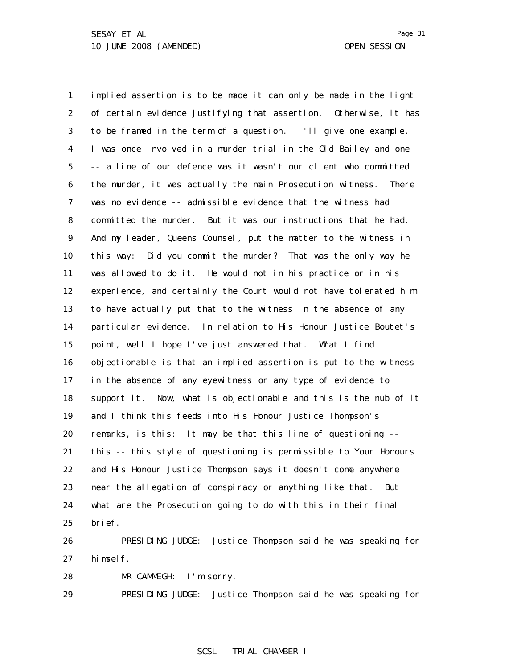1 2 3 4 5 6 7 8 9 10 11 12 13 14 15 16 17 18 19 20 21 22 23 24 25 implied assertion is to be made it can only be made in the light of certain evidence justifying that assertion. Otherwise, it has to be framed in the term of a question. I'll give one example. I was once involved in a murder trial in the Old Bailey and one -- a line of our defence was it wasn't our client who committed the murder, it was actually the main Prosecution witness. There was no evidence -- admissible evidence that the witness had committed the murder. But it was our instructions that he had. And my leader, Queens Counsel, put the matter to the witness in this way: Did you commit the murder? That was the only way he was allowed to do it. He would not in his practice or in his experience, and certainly the Court would not have tolerated him to have actually put that to the witness in the absence of any particular evidence. In relation to His Honour Justice Boutet's point, well I hope I've just answered that. What I find objectionable is that an implied assertion is put to the witness in the absence of any eyewitness or any type of evidence to support it. Now, what is objectionable and this is the nub of it and I think this feeds into His Honour Justice Thompson's remarks, is this: It may be that this line of questioning - this -- this style of questioning is permissible to Your Honours and His Honour Justice Thompson says it doesn't come anywhere near the allegation of conspiracy or anything like that. But what are the Prosecution going to do with this in their final brief.

26 27 PRESIDING JUDGE: Justice Thompson said he was speaking for himself.

28 MR CAMMEGH: I'm sorry.

29 PRESIDING JUDGE: Justice Thompson said he was speaking for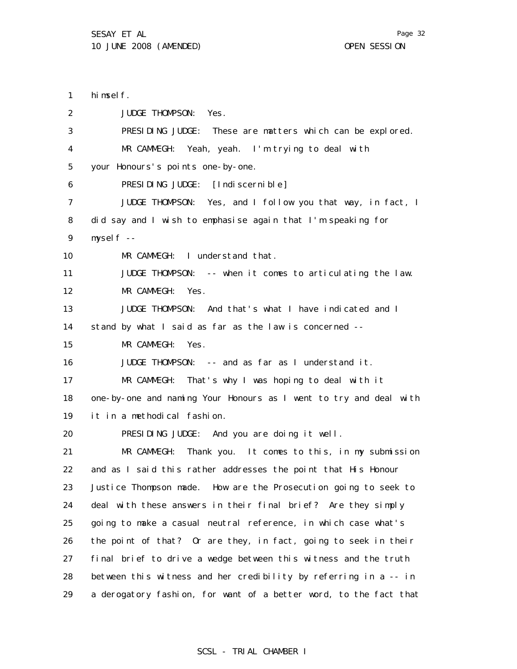1 2 3 4 5 6 7 8 9 10 11 12 13 14 15 16 17 18 19 20 21 22 23 24 25 26 27 28 29 himself. JUDGE THOMPSON: Yes. PRESIDING JUDGE: These are matters which can be explored. MR CAMMEGH: Yeah, yeah. I'm trying to deal with your Honours's points one-by-one. PRESIDING JUDGE: [Indiscernible] JUDGE THOMPSON: Yes, and I follow you that way, in fact, I did say and I wish to emphasise again that I'm speaking for myself -- MR CAMMEGH: I understand that. JUDGE THOMPSON: -- when it comes to articulating the law. MR CAMMEGH: Yes. JUDGE THOMPSON: And that's what I have indicated and I stand by what I said as far as the law is concerned -- MR CAMMEGH: Yes. JUDGE THOMPSON: -- and as far as I understand it. MR CAMMEGH: That's why I was hoping to deal with it one-by-one and naming Your Honours as I went to try and deal with it in a methodical fashion. PRESIDING JUDGE: And you are doing it well. MR CAMMEGH: Thank you. It comes to this, in my submission and as I said this rather addresses the point that His Honour Justice Thompson made. How are the Prosecution going to seek to deal with these answers in their final brief? Are they simply going to make a casual neutral reference, in which case what's the point of that? Or are they, in fact, going to seek in their final brief to drive a wedge between this witness and the truth between this witness and her credibility by referring in a -- in a derogatory fashion, for want of a better word, to the fact that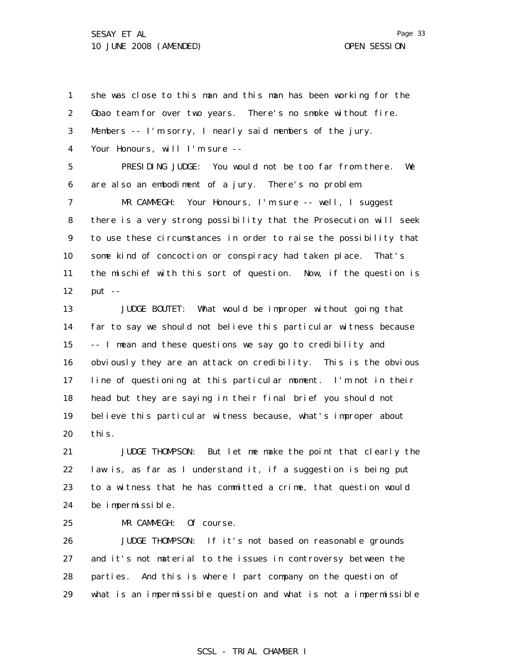Page 33

1 2 3 4 5 6 7 8 9 10 11 12 13 14 15 16 17 18 19 20 21 she was close to this man and this man has been working for the Gbao team for over two years. There's no smoke without fire. Members -- I'm sorry, I nearly said members of the jury. Your Honours, will I'm sure -- PRESIDING JUDGE: You would not be too far from there. We are also an embodiment of a jury. There's no problem. MR CAMMEGH: Your Honours, I'm sure -- well, I suggest there is a very strong possibility that the Prosecution will seek to use these circumstances in order to raise the possibility that some kind of concoction or conspiracy had taken place. That's the mischief with this sort of question. Now, if the question is put  $--$ JUDGE BOUTET: What would be improper without going that far to say we should not believe this particular witness because -- I mean and these questions we say go to credibility and obviously they are an attack on credibility. This is the obvious line of questioning at this particular moment. I'm not in their head but they are saying in their final brief you should not believe this particular witness because, what's improper about this. JUDGE THOMPSON: But let me make the point that clearly the

22 23 24 law is, as far as I understand it, if a suggestion is being put to a witness that he has committed a crime, that question would be impermissible.

25

MR CAMMEGH: Of course.

26 27 28 29 JUDGE THOMPSON: If it's not based on reasonable grounds and it's not material to the issues in controversy between the parties. And this is where I part company on the question of what is an impermissible question and what is not a impermissible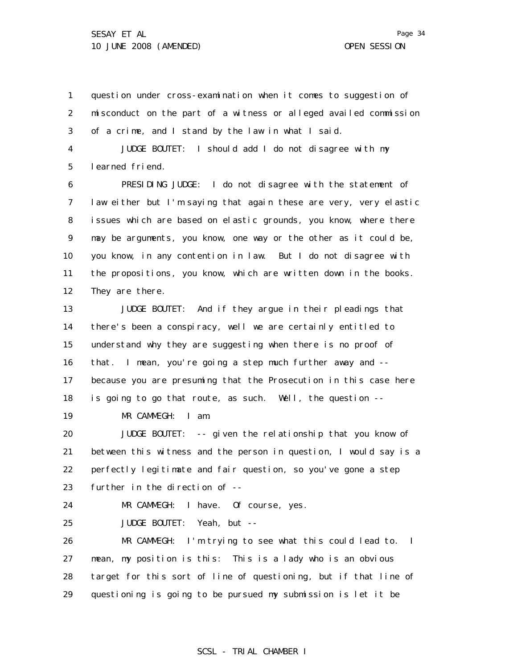Page 34

1 2 3 question under cross-examination when it comes to suggestion of misconduct on the part of a witness or alleged availed commission of a crime, and I stand by the law in what I said.

4 5 JUDGE BOUTET: I should add I do not disagree with my learned friend.

6 7 8 9 10 11 12 PRESIDING JUDGE: I do not disagree with the statement of law either but I'm saying that again these are very, very elastic issues which are based on elastic grounds, you know, where there may be arguments, you know, one way or the other as it could be, you know, in any contention in law. But I do not disagree with the propositions, you know, which are written down in the books. They are there.

13 14 15 16 17 18 JUDGE BOUTET: And if they argue in their pleadings that there's been a conspiracy, well we are certainly entitled to understand why they are suggesting when there is no proof of that. I mean, you're going a step much further away and - because you are presuming that the Prosecution in this case here is going to go that route, as such. Well, the question --

19 MR CAMMEGH: I am.

20 21 22 23 JUDGE BOUTET: -- given the relationship that you know of between this witness and the person in question, I would say is a perfectly legitimate and fair question, so you've gone a step further in the direction of --

MR CAMMEGH: I have. Of course, yes.

24

25

JUDGE BOUTET: Yeah, but --

26 27 28 29 MR CAMMEGH: I'm trying to see what this could lead to. I mean, my position is this: This is a lady who is an obvious target for this sort of line of questioning, but if that line of questioning is going to be pursued my submission is let it be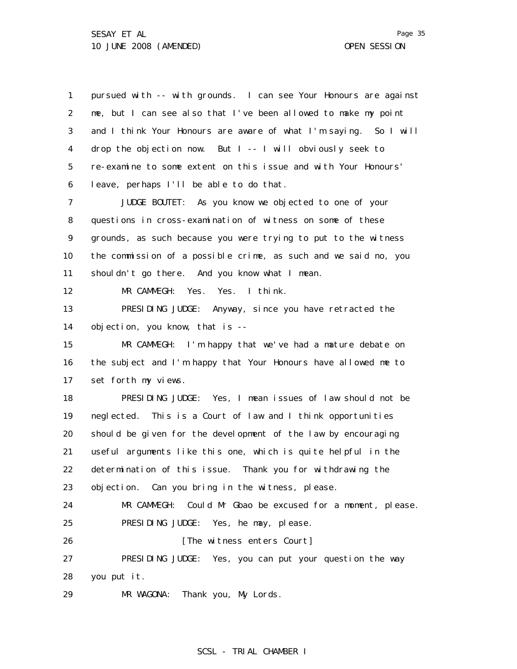|   | Page 35  |  |
|---|----------|--|
| N | SESSI ON |  |

1 2 3 4 5 6 7 8 9 10 11 12 13 14 15 16 17 18 19 20 21 22 23 24 25 26 27 28 29 pursued with -- with grounds. I can see Your Honours are against me, but I can see also that I've been allowed to make my point and I think Your Honours are aware of what I'm saying. So I will drop the objection now. But I -- I will obviously seek to re-examine to some extent on this issue and with Your Honours' leave, perhaps I'll be able to do that. JUDGE BOUTET: As you know we objected to one of your questions in cross-examination of witness on some of these grounds, as such because you were trying to put to the witness the commission of a possible crime, as such and we said no, you shouldn't go there. And you know what I mean. MR CAMMEGH: Yes. Yes. I think. PRESIDING JUDGE: Anyway, since you have retracted the objection, you know, that is -- MR CAMMEGH: I'm happy that we've had a mature debate on the subject and I'm happy that Your Honours have allowed me to set forth my views. PRESIDING JUDGE: Yes, I mean issues of law should not be neglected. This is a Court of law and I think opportunities should be given for the development of the law by encouraging useful arguments like this one, which is quite helpful in the determination of this issue. Thank you for withdrawing the objection. Can you bring in the witness, please. MR CAMMEGH: Could Mr Gbao be excused for a moment, please. PRESIDING JUDGE: Yes, he may, please. [The witness enters Court] PRESIDING JUDGE: Yes, you can put your question the way you put it. MR WAGONA: Thank you, My Lords.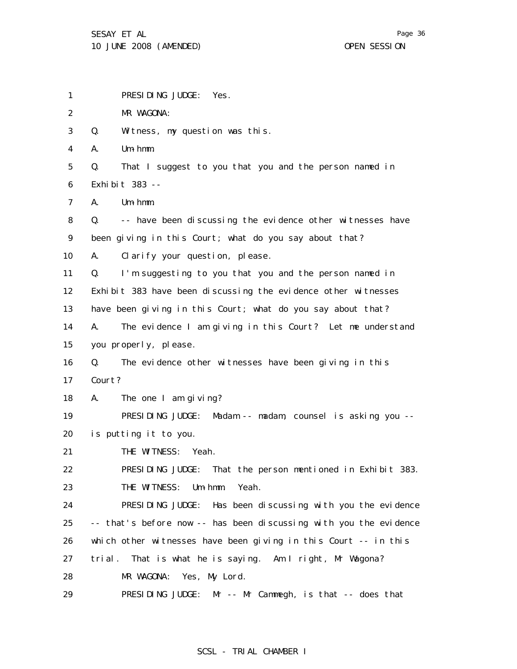1 2 3 4 5 6 7 8 9 10 11 12 13 14 15 16 17 18 19 20 21 22 23 24 25 26 27 PRESIDING JUDGE: Yes. MR WAGONA: Q. Witness, my question was this. A. Um-hmm. Q. That I suggest to you that you and the person named in Exhibit 383 -- A. Um-hmm. Q. -- have been discussing the evidence other witnesses have been giving in this Court; what do you say about that? A. Clarify your question, please. Q. I'm suggesting to you that you and the person named in Exhibit 383 have been discussing the evidence other witnesses have been giving in this Court; what do you say about that? A. The evidence I am giving in this Court? Let me understand you properly, please. Q. The evidence other witnesses have been giving in this Court? A. The one I am giving? PRESIDING JUDGE: Madam -- madam, counsel is asking you - is putting it to you. THE WITNESS: Yeah. PRESIDING JUDGE: That the person mentioned in Exhibit 383. THE WITNESS: Um-hmm. Yeah. PRESIDING JUDGE: Has been discussing with you the evidence -- that's before now -- has been discussing with you the evidence which other witnesses have been giving in this Court -- in this trial. That is what he is saying. Am I right, Mr Wagona?

28 MR WAGONA: Yes, My Lord.

29 PRESIDING JUDGE: Mr -- Mr Cammegh, is that -- does that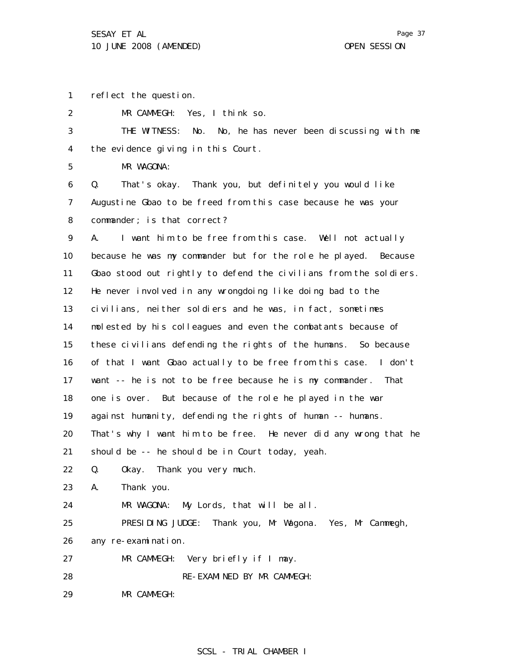1 reflect the question.

2 MR CAMMEGH: Yes, I think so.

3 4 THE WITNESS: No. No, he has never been discussing with me the evidence giving in this Court.

5 MR WAGONA:

6 7 8 Q. That's okay. Thank you, but definitely you would like Augustine Gbao to be freed from this case because he was your commander; is that correct?

9 10 11 12 13 14 15 16 17 18 19 20 21 22 23 24 25 A. I want him to be free from this case. Well not actually because he was my commander but for the role he played. Because Gbao stood out rightly to defend the civilians from the soldiers. He never involved in any wrongdoing like doing bad to the civilians, neither soldiers and he was, in fact, sometimes molested by his colleagues and even the combatants because of these civilians defending the rights of the humans. So because of that I want Gbao actually to be free from this case. I don't want -- he is not to be free because he is my commander. That one is over. But because of the role he played in the war against humanity, defending the rights of human -- humans. That's why I want him to be free. He never did any wrong that he should be -- he should be in Court today, yeah. Q. Okay. Thank you very much. A. Thank you. MR WAGONA: My Lords, that will be all. PRESIDING JUDGE: Thank you, Mr Wagona. Yes, Mr Cammegh,

26 any re-examination.

27 MR CAMMEGH: Very briefly if I may.

28 RE-EXAMINED BY MR CAMMEGH:

29 MR CAMMEGH: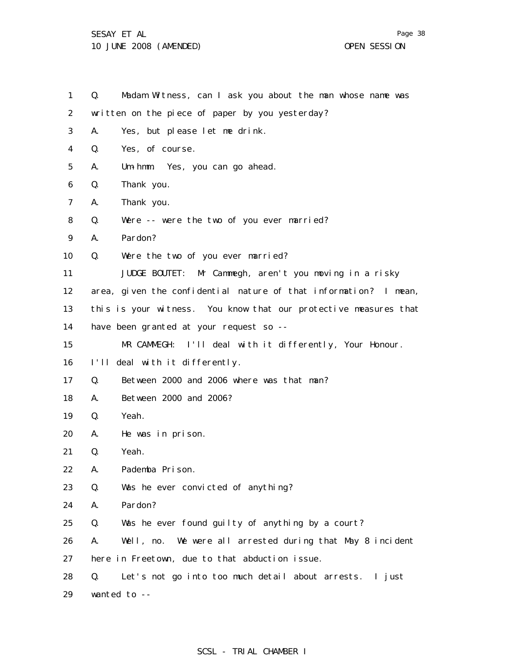1 2 3 4 5 6 7 8 9 10 11 12 13 14 15 16 17 18 19 20 21 22 23 24 25 26 27 28 29 Q. Madam Witness, can I ask you about the man whose name was written on the piece of paper by you yesterday? A. Yes, but please let me drink. Q. Yes, of course. A. Um-hmm. Yes, you can go ahead. Q. Thank you. A. Thank you. Q. Were -- were the two of you ever married? A. Pardon? Q. Were the two of you ever married? JUDGE BOUTET: Mr Cammegh, aren't you moving in a risky area, given the confidential nature of that information? I mean, this is your witness. You know that our protective measures that have been granted at your request so --MR CAMMEGH: I'll deal with it differently, Your Honour. I'll deal with it differently. Q. Between 2000 and 2006 where was that man? A. Between 2000 and 2006? Q. Yeah. A. He was in prison. Q. Yeah. A. Pademba Prison. Q. Was he ever convicted of anything? A. Pardon? Q. Was he ever found guilty of anything by a court? A. Well, no. We were all arrested during that May 8 incident here in Freetown, due to that abduction issue. Q. Let's not go into too much detail about arrests. I just wanted to --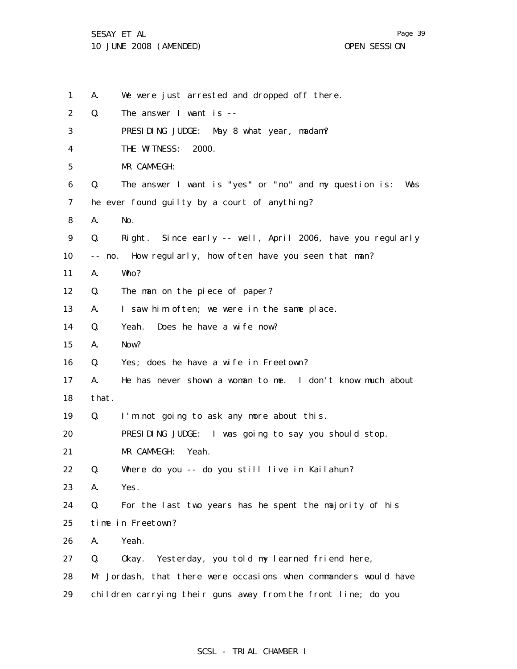Page 39

1 2 3 4 5 6 7 8 9 10 11 12 13 14 15 16 17 18 19 20 21 22 23 24 25 26 27 28 29 A. We were just arrested and dropped off there. Q. The answer I want is -- PRESIDING JUDGE: May 8 what year, madam? THE WITNESS: 2000. MR CAMMEGH: Q. The answer I want is "yes" or "no" and my question is: Was he ever found guilty by a court of anything? A. No. Q. Right. Since early -- well, April 2006, have you regularly -- no. How regularly, how often have you seen that man? A. Who? Q. The man on the piece of paper? A. I saw him often; we were in the same place. Q. Yeah. Does he have a wife now? A. Now? Q. Yes; does he have a wife in Freetown? A. He has never shown a woman to me. I don't know much about that. Q. I'm not going to ask any more about this. PRESIDING JUDGE: I was going to say you should stop. MR CAMMEGH: Yeah. Q. Where do you -- do you still live in Kailahun? A. Yes. Q. For the last two years has he spent the majority of his time in Freetown? A. Yeah. Q. Okay. Yesterday, you told my learned friend here, Mr Jordash, that there were occasions when commanders would have children carrying their guns away from the front line; do you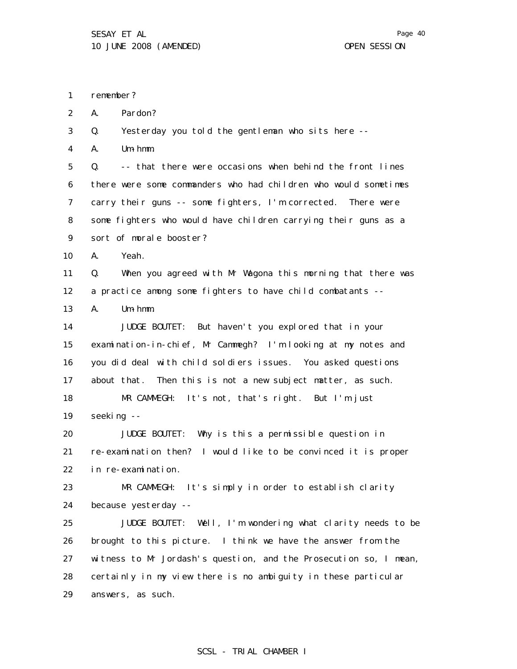1 remember?

2 A. Pardon?

3 Q. Yesterday you told the gentleman who sits here --

4 A. Um-hmm.

5 6 7 8 9 Q. -- that there were occasions when behind the front lines there were some commanders who had children who would sometimes carry their guns -- some fighters, I'm corrected. There were some fighters who would have children carrying their guns as a sort of morale booster?

10 A. Yeah.

11 12 Q. When you agreed with Mr Wagona this morning that there was a practice among some fighters to have child combatants --

13 A. Um-hmm.

14 15 16 17 18 JUDGE BOUTET: But haven't you explored that in your examination-in-chief, Mr Cammegh? I'm looking at my notes and you did deal with child soldiers issues. You asked questions about that. Then this is not a new subject matter, as such. MR CAMMEGH: It's not, that's right. But I'm just

19 seeking --

20 21 22 JUDGE BOUTET: Why is this a permissible question in re-examination then? I would like to be convinced it is proper in re-examination.

23 24 MR CAMMEGH: It's simply in order to establish clarity because yesterday --

25 26 27 28 29 JUDGE BOUTET: Well, I'm wondering what clarity needs to be brought to this picture. I think we have the answer from the witness to Mr Jordash's question, and the Prosecution so, I mean, certainly in my view there is no ambiguity in these particular answers, as such.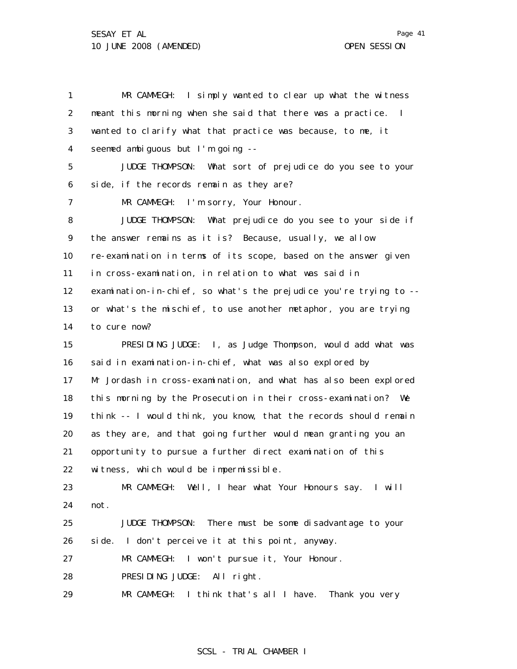1 MR CAMMEGH: I simply wanted to clear up what the witness 2 3 4 5 6 7 8 9 10 11 12 13 14 15 16 17 18 19 20 21 22 23 24 25 26 27 28 29 meant this morning when she said that there was a practice. I wanted to clarify what that practice was because, to me, it seemed ambiguous but I'm going -- JUDGE THOMPSON: What sort of prejudice do you see to your side, if the records remain as they are? MR CAMMEGH: I'm sorry, Your Honour. JUDGE THOMPSON: What prejudice do you see to your side if the answer remains as it is? Because, usually, we allow re-examination in terms of its scope, based on the answer given in cross-examination, in relation to what was said in examination-in-chief, so what's the prejudice you're trying to - or what's the mischief, to use another metaphor, you are trying to cure now? PRESIDING JUDGE: I, as Judge Thompson, would add what was said in examination-in-chief, what was also explored by Mr Jordash in cross-examination, and what has also been explored this morning by the Prosecution in their cross-examination? We think -- I would think, you know, that the records should remain as they are, and that going further would mean granting you an opportunity to pursue a further direct examination of this witness, which would be impermissible. MR CAMMEGH: Well, I hear what Your Honours say. I will not. JUDGE THOMPSON: There must be some disadvantage to your side. I don't perceive it at this point, anyway. MR CAMMEGH: I won't pursue it, Your Honour. PRESIDING JUDGE: All right. MR CAMMEGH: I think that's all I have. Thank you very

Page 41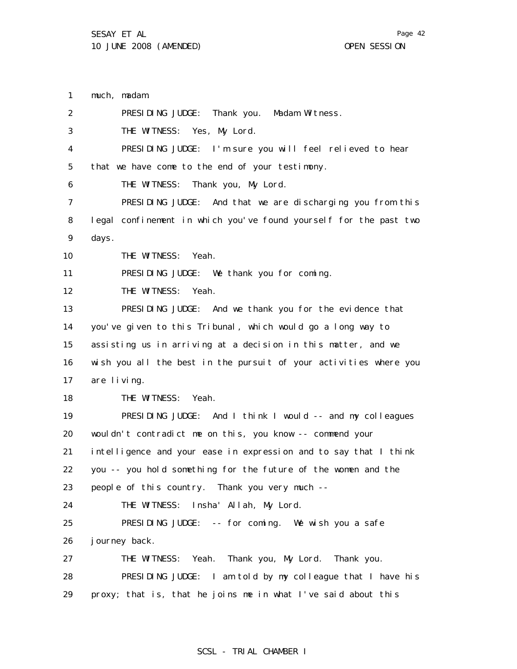1 2 3 4 5 6 7 8 9 10 11 12 13 14 15 16 17 18 19 20 21 22 23 24 25 26 27 28 29 much, madam. PRESIDING JUDGE: Thank you. Madam Witness. THE WITNESS: Yes, My Lord. PRESIDING JUDGE: I'm sure you will feel relieved to hear that we have come to the end of your testimony. THE WITNESS: Thank you, My Lord. PRESIDING JUDGE: And that we are discharging you from this legal confinement in which you've found yourself for the past two days. THE WITNESS: Yeah. PRESIDING JUDGE: We thank you for coming. THE WITNESS: Yeah. PRESIDING JUDGE: And we thank you for the evidence that you've given to this Tribunal, which would go a long way to assisting us in arriving at a decision in this matter, and we wish you all the best in the pursuit of your activities where you are living. THE WITNESS: Yeah. PRESIDING JUDGE: And I think I would -- and my colleagues wouldn't contradict me on this, you know -- commend your intelligence and your ease in expression and to say that I think you -- you hold something for the future of the women and the people of this country. Thank you very much -- THE WITNESS: Insha' Allah, My Lord. PRESIDING JUDGE: -- for coming. We wish you a safe journey back. THE WITNESS: Yeah. Thank you, My Lord. Thank you. PRESIDING JUDGE: I am told by my colleague that I have his proxy; that is, that he joins me in what I've said about this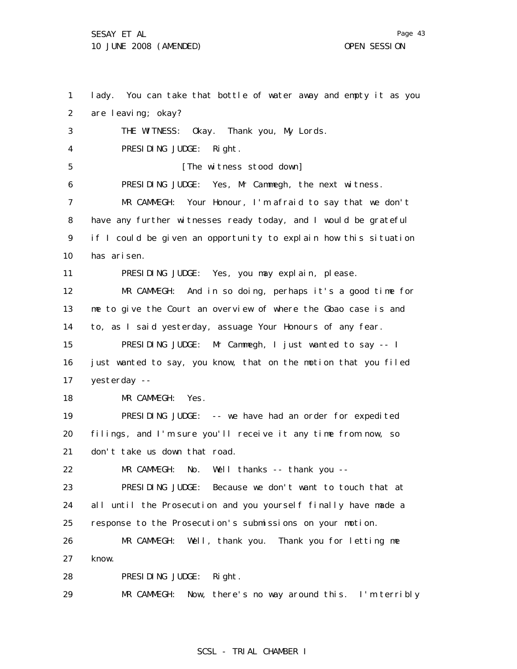1 2 3 4 5 6 7 8 9 10 11 12 13 14 15 16 17 18 19 20 21 22 23 24 25 26 27 28 lady. You can take that bottle of water away and empty it as you are leaving; okay? THE WITNESS: Okay. Thank you, My Lords. PRESIDING JUDGE: Right. [The witness stood down] PRESIDING JUDGE: Yes, Mr Cammegh, the next witness. MR CAMMEGH: Your Honour, I'm afraid to say that we don't have any further witnesses ready today, and I would be grateful if I could be given an opportunity to explain how this situation has arisen. PRESIDING JUDGE: Yes, you may explain, please. MR CAMMEGH: And in so doing, perhaps it's a good time for me to give the Court an overview of where the Gbao case is and to, as I said yesterday, assuage Your Honours of any fear. PRESIDING JUDGE: Mr Cammegh, I just wanted to say -- I just wanted to say, you know, that on the motion that you filed yesterday -- MR CAMMEGH: Yes. PRESIDING JUDGE: -- we have had an order for expedited filings, and I'm sure you'll receive it any time from now, so don't take us down that road. MR CAMMEGH: No. Well thanks -- thank you -- PRESIDING JUDGE: Because we don't want to touch that at all until the Prosecution and you yourself finally have made a response to the Prosecution's submissions on your motion. MR CAMMEGH: Well, thank you. Thank you for letting me know. PRESIDING JUDGE: Right.

29 MR CAMMEGH: Now, there's no way around this. I'm terribly

Page 43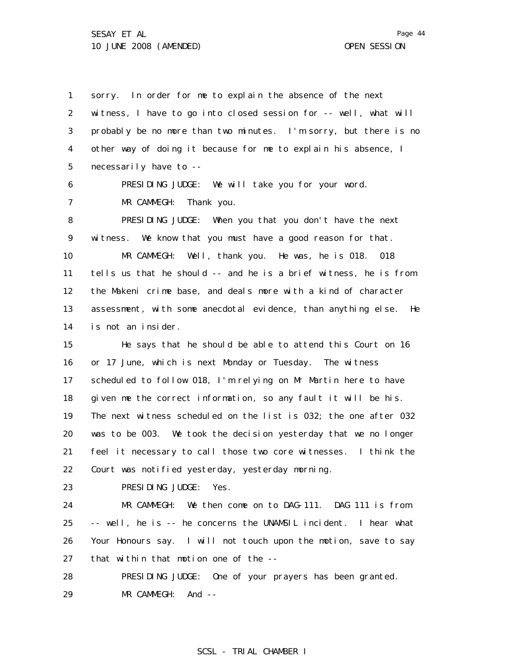1

2 3 4 5 6 7 8 9 10 11 12 13 14 15 16 17 witness, I have to go into closed session for -- well, what will probably be no more than two minutes. I'm sorry, but there is no other way of doing it because for me to explain his absence, I necessarily have to -- PRESIDING JUDGE: We will take you for your word. MR CAMMEGH: Thank you. PRESIDING JUDGE: When you that you don't have the next witness. We know that you must have a good reason for that. MR CAMMEGH: Well, thank you. He was, he is 018. 018 tells us that he should -- and he is a brief witness, he is from the Makeni crime base, and deals more with a kind of character assessment, with some anecdotal evidence, than anything else. He is not an insider. He says that he should be able to attend this Court on 16 or 17 June, which is next Monday or Tuesday. The witness scheduled to follow 018, I'm relying on Mr Martin here to have

sorry. In order for me to explain the absence of the next

18 19 20 21 22 given me the correct information, so any fault it will be his. The next witness scheduled on the list is 032; the one after 032 was to be 003. We took the decision yesterday that we no longer feel it necessary to call those two core witnesses. I think the Court was notified yesterday, yesterday morning.

23 PRESIDING JUDGE: Yes.

24 25 26 27 MR CAMMEGH: We then come on to DAG-111. DAG 111 is from -- well, he is -- he concerns the UNAMSIL incident. I hear what Your Honours say. I will not touch upon the motion, save to say that within that motion one of the --

28 29 PRESIDING JUDGE: One of your prayers has been granted. MR CAMMEGH: And --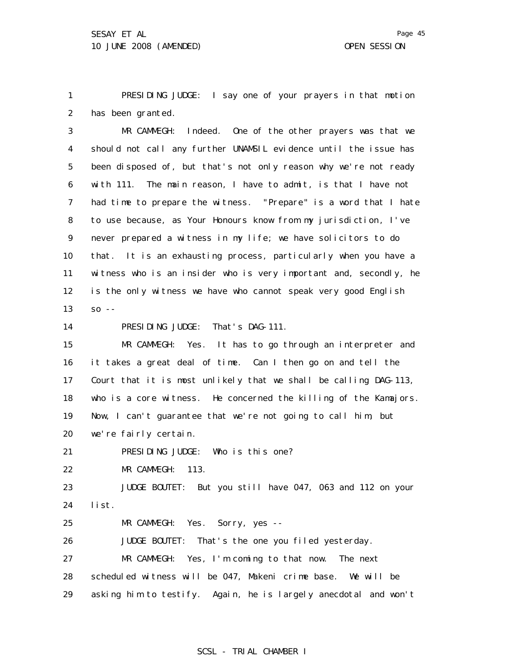1 2 PRESIDING JUDGE: I say one of your prayers in that motion has been granted.

3 4 5 6 7 8 9 10 11 12 13 MR CAMMEGH: Indeed. One of the other prayers was that we should not call any further UNAMSIL evidence until the issue has been disposed of, but that's not only reason why we're not ready with 111. The main reason, I have to admit, is that I have not had time to prepare the witness. "Prepare" is a word that I hate to use because, as Your Honours know from my jurisdiction, I've never prepared a witness in my life; we have solicitors to do that. It is an exhausting process, particularly when you have a witness who is an insider who is very important and, secondly, he is the only witness we have who cannot speak very good English  $SO - -$ 

14 PRESIDING JUDGE: That's DAG-111.

15 16 17 18 19 20 MR CAMMEGH: Yes. It has to go through an interpreter and it takes a great deal of time. Can I then go on and tell the Court that it is most unlikely that we shall be calling DAG-113, who is a core witness. He concerned the killing of the Kamajors. Now, I can't guarantee that we're not going to call him, but we're fairly certain.

21 PRESIDING JUDGE: Who is this one?

22 MR CAMMEGH: 113.

23 24 JUDGE BOUTET: But you still have 047, 063 and 112 on your list.

25 MR CAMMEGH: Yes. Sorry, yes --

26 27 28 29 JUDGE BOUTET: That's the one you filed yesterday. MR CAMMEGH: Yes, I'm coming to that now. The next scheduled witness will be 047, Makeni crime base. We will be asking him to testify. Again, he is largely anecdotal and won't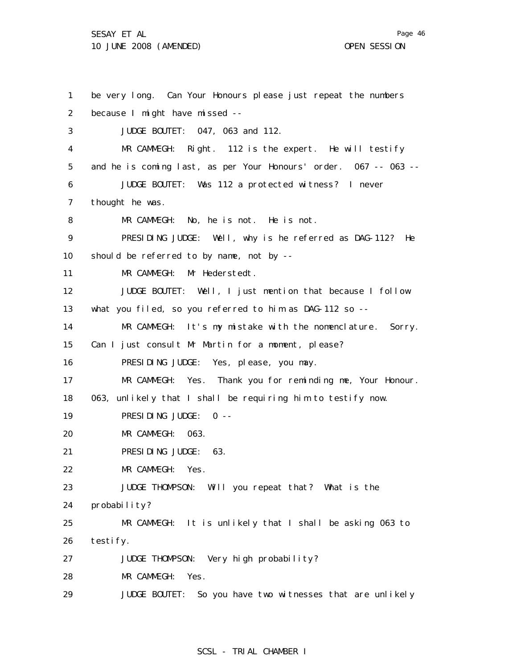Page 46

1 2 3 4 5 6 7 8 9 10 11 12 13 14 15 16 17 18 19 20 21 22 23 24 25 26 27 28 29 be very long. Can Your Honours please just repeat the numbers because I might have missed -- JUDGE BOUTET: 047, 063 and 112. MR CAMMEGH: Right. 112 is the expert. He will testify and he is coming last, as per Your Honours' order. 067 -- 063 -- JUDGE BOUTET: Was 112 a protected witness? I never thought he was. MR CAMMEGH: No, he is not. He is not. PRESIDING JUDGE: Well, why is he referred as DAG-112? He should be referred to by name, not by -- MR CAMMEGH: Mr Hederstedt. JUDGE BOUTET: Well, I just mention that because I follow what you filed, so you referred to him as DAG-112 so --MR CAMMEGH: It's my mistake with the nomenclature. Sorry. Can I just consult Mr Martin for a moment, please? PRESIDING JUDGE: Yes, please, you may. MR CAMMEGH: Yes. Thank you for reminding me, Your Honour. 063, unlikely that I shall be requiring him to testify now. PRESIDING JUDGE: 0 -- MR CAMMEGH: 063. PRESIDING JUDGE: 63. MR CAMMEGH: Yes. JUDGE THOMPSON: Will you repeat that? What is the probability? MR CAMMEGH: It is unlikely that I shall be asking 063 to testify. JUDGE THOMPSON: Very high probability? MR CAMMEGH: Yes. JUDGE BOUTET: So you have two witnesses that are unlikely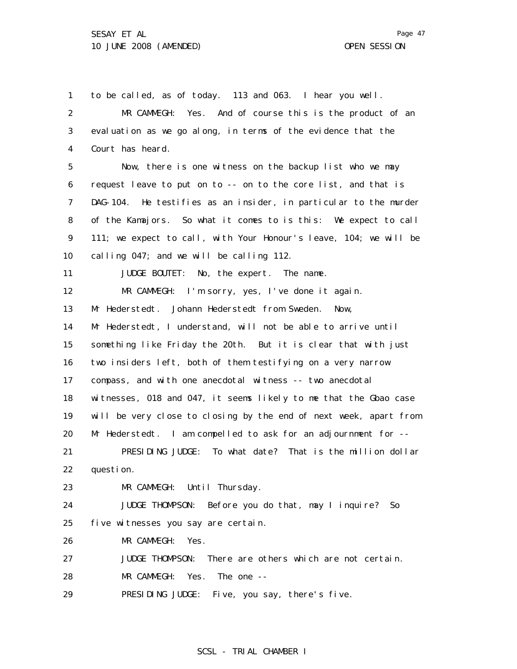1 2 3 4 5 6 7 8 9 10 11 12 13 14 15 16 17 18 19 20 21 22 23 24 25 26 27 28 29 to be called, as of today. 113 and 063. I hear you well. MR CAMMEGH: Yes. And of course this is the product of an evaluation as we go along, in terms of the evidence that the Court has heard. Now, there is one witness on the backup list who we may request leave to put on to -- on to the core list, and that is DAG-104. He testifies as an insider, in particular to the murder of the Kamajors. So what it comes to is this: We expect to call 111; we expect to call, with Your Honour's leave, 104; we will be calling 047; and we will be calling 112. JUDGE BOUTET: No, the expert. The name. MR CAMMEGH: I'm sorry, yes, I've done it again. Mr Hederstedt. Johann Hederstedt from Sweden. Now, Mr Hederstedt, I understand, will not be able to arrive until something like Friday the 20th. But it is clear that with just two insiders left, both of them testifying on a very narrow compass, and with one anecdotal witness -- two anecdotal witnesses, 018 and 047, it seems likely to me that the Gbao case will be very close to closing by the end of next week, apart from Mr Hederstedt. I am compelled to ask for an adjournment for -- PRESIDING JUDGE: To what date? That is the million dollar question. MR CAMMEGH: Until Thursday. JUDGE THOMPSON: Before you do that, may I inquire? So five witnesses you say are certain. MR CAMMEGH: Yes. JUDGE THOMPSON: There are others which are not certain. MR CAMMEGH: Yes. The one -- PRESIDING JUDGE: Five, you say, there's five.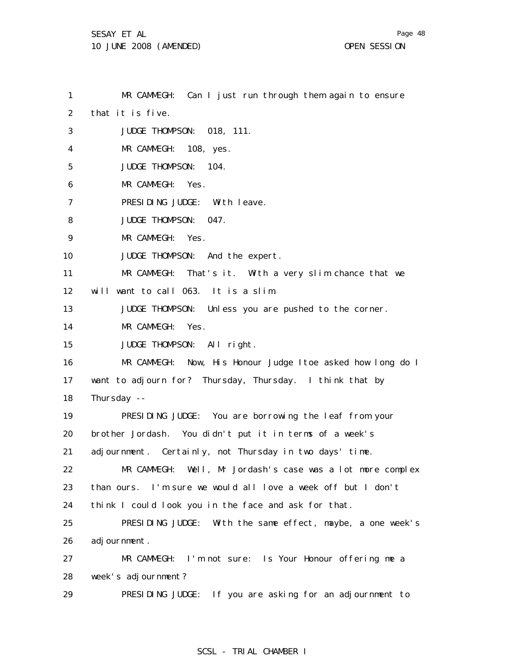1 2 3 4 5 6 7 8 9 10 11 12 13 14 15 16 17 18 19 20 21 22 23 24 25 26 27 28 29 MR CAMMEGH: Can I just run through them again to ensure that it is five. JUDGE THOMPSON: 018, 111. MR CAMMEGH: 108, yes. JUDGE THOMPSON: 104. MR CAMMEGH: Yes. PRESIDING JUDGE: With leave. JUDGE THOMPSON: 047. MR CAMMEGH: Yes. JUDGE THOMPSON: And the expert. MR CAMMEGH: That's it. With a very slim chance that we will want to call 063. It is a slim. JUDGE THOMPSON: Unless you are pushed to the corner. MR CAMMEGH: Yes. JUDGE THOMPSON: All right. MR CAMMEGH: Now, His Honour Judge Itoe asked how long do I want to adjourn for? Thursday, Thursday. I think that by Thursday -- PRESIDING JUDGE: You are borrowing the leaf from your brother Jordash. You didn't put it in terms of a week's adjournment. Certainly, not Thursday in two days' time. MR CAMMEGH: Well, Mr Jordash's case was a lot more complex than ours. I'm sure we would all love a week off but I don't think I could look you in the face and ask for that. PRESIDING JUDGE: With the same effect, maybe, a one week's adj ournment. MR CAMMEGH: I'm not sure: Is Your Honour offering me a week's adjournment? PRESIDING JUDGE: If you are asking for an adjournment to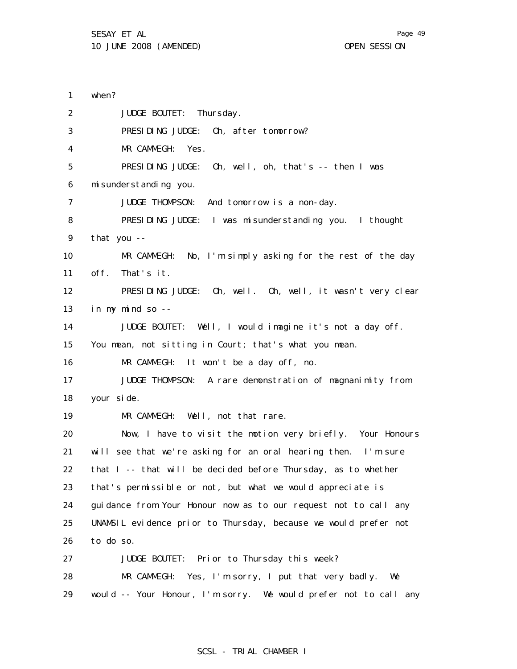1 2 3 4 5 6 7 8 9 10 11 12 13 14 15 16 17 18 19 20 21 22 23 24 25 26 27 28 29 when? JUDGE BOUTET: Thursday. PRESIDING JUDGE: Oh, after tomorrow? MR CAMMEGH: Yes. PRESIDING JUDGE: Oh, well, oh, that's -- then I was misunderstanding you. JUDGE THOMPSON: And tomorrow is a non-day. PRESIDING JUDGE: I was misunderstanding you. I thought that you -- MR CAMMEGH: No, I'm simply asking for the rest of the day off. That's it. PRESIDING JUDGE: Oh, well. Oh, well, it wasn't very clear in my mind so -- JUDGE BOUTET: Well, I would imagine it's not a day off. You mean, not sitting in Court; that's what you mean. MR CAMMEGH: It won't be a day off, no. JUDGE THOMPSON: A rare demonstration of magnanimity from your side. MR CAMMEGH: Well, not that rare. Now, I have to visit the motion very briefly. Your Honours will see that we're asking for an oral hearing then. I'm sure that I -- that will be decided before Thursday, as to whether that's permissible or not, but what we would appreciate is guidance from Your Honour now as to our request not to call any UNAMSIL evidence prior to Thursday, because we would prefer not to do so. JUDGE BOUTET: Prior to Thursday this week? MR CAMMEGH: Yes, I'm sorry, I put that very badly. We would -- Your Honour, I'm sorry. We would prefer not to call any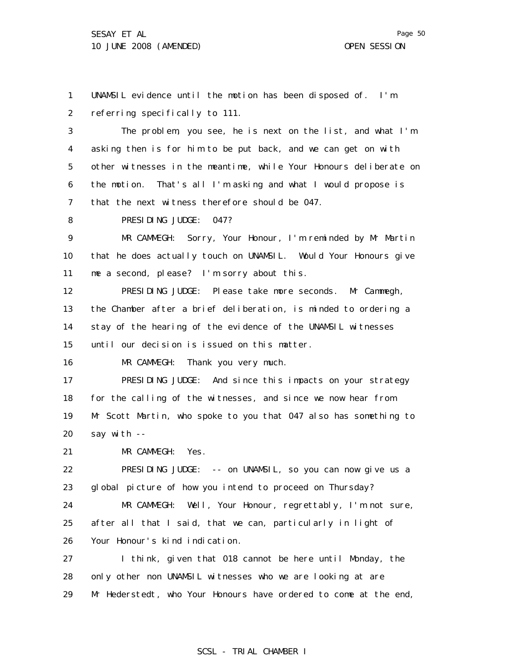1 2 UNAMSIL evidence until the motion has been disposed of. I'm referring specifically to 111.

3 4 5 6 7 The problem, you see, he is next on the list, and what I'm asking then is for him to be put back, and we can get on with other witnesses in the meantime, while Your Honours deliberate on the motion. That's all I'm asking and what I would propose is that the next witness therefore should be 047.

8 PRESIDING JUDGE: 047?

9 10 11 MR CAMMEGH: Sorry, Your Honour, I'm reminded by Mr Martin that he does actually touch on UNAMSIL. Would Your Honours give me a second, please? I'm sorry about this.

12 13 14 15 PRESIDING JUDGE: Please take more seconds. Mr Cammegh, the Chamber after a brief deliberation, is minded to ordering a stay of the hearing of the evidence of the UNAMSIL witnesses until our decision is issued on this matter.

16 MR CAMMEGH: Thank you very much.

17 18 19 20 PRESIDING JUDGE: And since this impacts on your strategy for the calling of the witnesses, and since we now hear from Mr Scott Martin, who spoke to you that 047 also has something to say with --

21 MR CAMMEGH: Yes.

22 23 PRESIDING JUDGE: -- on UNAMSIL, so you can now give us a global picture of how you intend to proceed on Thursday?

24 25 26 MR CAMMEGH: Well, Your Honour, regrettably, I'm not sure, after all that I said, that we can, particularly in light of Your Honour's kind indication.

27 28 29 I think, given that 018 cannot be here until Monday, the only other non UNAMSIL witnesses who we are looking at are Mr Hederstedt, who Your Honours have ordered to come at the end,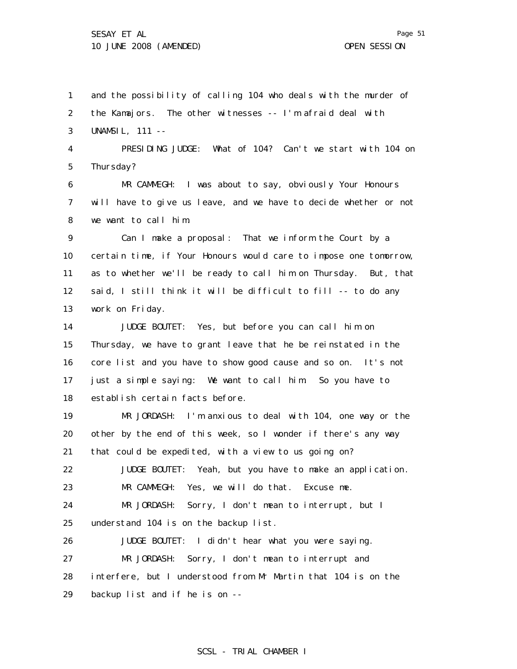1 2 3 4 and the possibility of calling 104 who deals with the murder of the Kamajors. The other witnesses -- I'm afraid deal with UNAMSIL, 111 -- PRESIDING JUDGE: What of 104? Can't we start with 104 on

5 Thursday?

6 7 8 MR CAMMEGH: I was about to say, obviously Your Honours will have to give us leave, and we have to decide whether or not we want to call him.

9 10 11 12 13 Can I make a proposal: That we inform the Court by a certain time, if Your Honours would care to impose one tomorrow, as to whether we'll be ready to call him on Thursday. But, that said, I still think it will be difficult to fill -- to do any work on Friday.

14 15 16 17 18 JUDGE BOUTET: Yes, but before you can call him on Thursday, we have to grant leave that he be reinstated in the core list and you have to show good cause and so on. It's not just a simple saying: We want to call him. So you have to establish certain facts before.

19 20 21 MR JORDASH: I'm anxious to deal with 104, one way or the other by the end of this week, so I wonder if there's any way that could be expedited, with a view to us going on?

22 23 JUDGE BOUTET: Yeah, but you have to make an application. MR CAMMEGH: Yes, we will do that. Excuse me.

24 25 MR JORDASH: Sorry, I don't mean to interrupt, but I understand 104 is on the backup list.

26 27 28 29 JUDGE BOUTET: I didn't hear what you were saying. MR JORDASH: Sorry, I don't mean to interrupt and interfere, but I understood from Mr Martin that 104 is on the backup list and if he is on --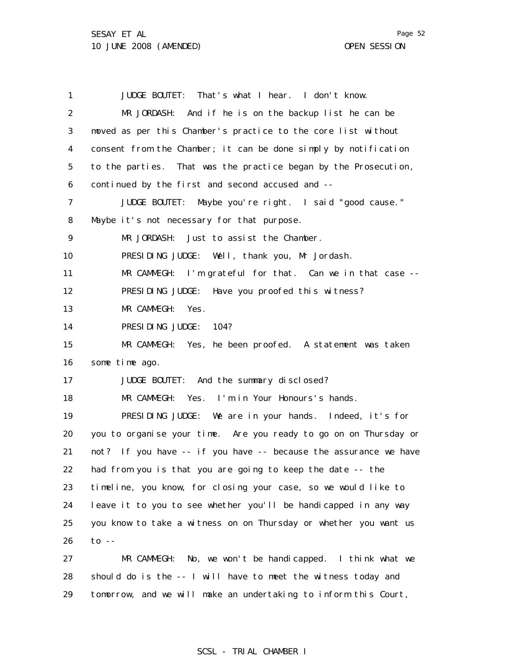29

1 2 3 4 5 6 7 8 9 10 11 12 13 14 15 16 17 18 19 20 21 22 23 24 25 26 27 28 JUDGE BOUTET: That's what I hear. I don't know. MR JORDASH: And if he is on the backup list he can be moved as per this Chamber's practice to the core list without consent from the Chamber; it can be done simply by notification to the parties. That was the practice began by the Prosecution, continued by the first and second accused and -- JUDGE BOUTET: Maybe you're right. I said "good cause." Maybe it's not necessary for that purpose. MR JORDASH: Just to assist the Chamber. PRESIDING JUDGE: Well, thank you, Mr Jordash. MR CAMMEGH: I'm grateful for that. Can we in that case -- PRESIDING JUDGE: Have you proofed this witness? MR CAMMEGH: Yes. PRESIDING JUDGE: 104? MR CAMMEGH: Yes, he been proofed. A statement was taken some time ago. JUDGE BOUTET: And the summary disclosed? MR CAMMEGH: Yes. I'm in Your Honours's hands. PRESIDING JUDGE: We are in your hands. Indeed, it's for you to organise your time. Are you ready to go on on Thursday or not? If you have -- if you have -- because the assurance we have had from you is that you are going to keep the date -- the timeline, you know, for closing your case, so we would like to leave it to you to see whether you'll be handicapped in any way you know to take a witness on on Thursday or whether you want us to  $-$ MR CAMMEGH: No, we won't be handicapped. I think what we should do is the -- I will have to meet the witness today and

# SCSL - TRIAL CHAMBER I

tomorrow, and we will make an undertaking to inform this Court,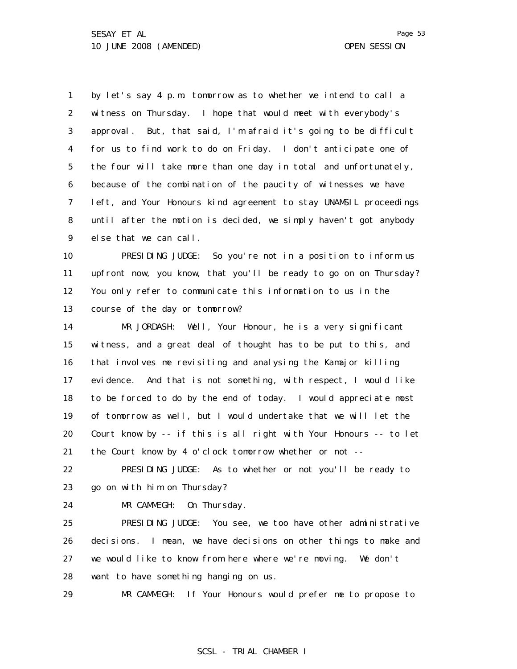1 2 3 4 5 6 7 8 9 10 11 12 13 14 by let's say 4 p.m. tomorrow as to whether we intend to call a witness on Thursday. I hope that would meet with everybody's approval. But, that said, I'm afraid it's going to be difficult for us to find work to do on Friday. I don't anticipate one of the four will take more than one day in total and unfortunately, because of the combination of the paucity of witnesses we have left, and Your Honours kind agreement to stay UNAMSIL proceedings until after the motion is decided, we simply haven't got anybody else that we can call. PRESIDING JUDGE: So you're not in a position to inform us upfront now, you know, that you'll be ready to go on on Thursday? You only refer to communicate this information to us in the course of the day or tomorrow? MR JORDASH: Well, Your Honour, he is a very significant

15 16 17 18 19 20 21 witness, and a great deal of thought has to be put to this, and that involves me revisiting and analysing the Kamajor killing evidence. And that is not something, with respect, I would like to be forced to do by the end of today. I would appreciate most of tomorrow as well, but I would undertake that we will let the Court know by -- if this is all right with Your Honours -- to let the Court know by 4 o'clock tomorrow whether or not --

22 23 PRESIDING JUDGE: As to whether or not you'll be ready to go on with him on Thursday?

24

MR CAMMEGH: On Thursday.

25 26 27 28 PRESIDING JUDGE: You see, we too have other administrative decisions. I mean, we have decisions on other things to make and we would like to know from here where we're moving. We don't want to have something hanging on us.

29 MR CAMMEGH: If Your Honours would prefer me to propose to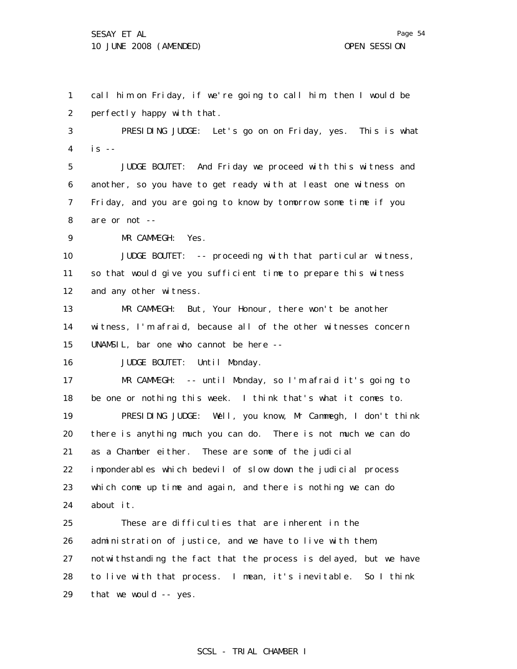Page 54

1 2 call him on Friday, if we're going to call him, then I would be perfectly happy with that.

3 4 PRESIDING JUDGE: Let's go on on Friday, yes. This is what  $is$  --

5 6 7 8 JUDGE BOUTET: And Friday we proceed with this witness and another, so you have to get ready with at least one witness on Friday, and you are going to know by tomorrow some time if you are or not --

9 MR CAMMEGH: Yes.

10 11 12 JUDGE BOUTET: -- proceeding with that particular witness, so that would give you sufficient time to prepare this witness and any other witness.

13 14 15 MR CAMMEGH: But, Your Honour, there won't be another witness, I'm afraid, because all of the other witnesses concern UNAMSIL, bar one who cannot be here --

16 JUDGE BOUTET: Until Monday.

17 18 19 MR CAMMEGH: -- until Monday, so I'm afraid it's going to be one or nothing this week. I think that's what it comes to. PRESIDING JUDGE: Well, you know, Mr Cammegh, I don't think

20 21 22 23 24 there is anything much you can do. There is not much we can do as a Chamber either. These are some of the judicial imponderables which bedevil of slow down the judicial process which come up time and again, and there is nothing we can do about it.

25 26 27 28 29 These are difficulties that are inherent in the administration of justice, and we have to live with them, notwithstanding the fact that the process is delayed, but we have to live with that process. I mean, it's inevitable. So I think that we would -- yes.

$$
\begin{array}{c} 3 \\ 4 \end{array}
$$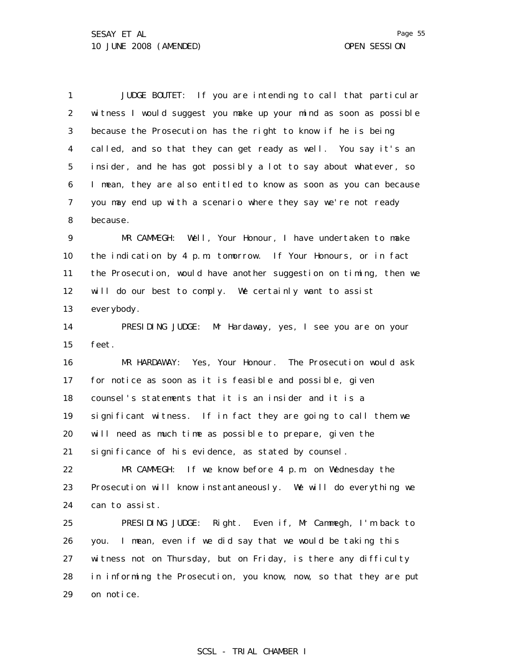1 2 3 4 5 6 7 8 9 JUDGE BOUTET: If you are intending to call that particular witness I would suggest you make up your mind as soon as possible because the Prosecution has the right to know if he is being called, and so that they can get ready as well. You say it's an insider, and he has got possibly a lot to say about whatever, so I mean, they are also entitled to know as soon as you can because you may end up with a scenario where they say we're not ready because. MR CAMMEGH: Well, Your Honour, I have undertaken to make

10 11 12 13 the indication by 4 p.m. tomorrow. If Your Honours, or in fact the Prosecution, would have another suggestion on timing, then we will do our best to comply. We certainly want to assist everybody.

14 15 PRESIDING JUDGE: Mr Hardaway, yes, I see you are on your feet.

16 17 18 19 20 21 MR HARDAWAY: Yes, Your Honour. The Prosecution would ask for notice as soon as it is feasible and possible, given counsel's statements that it is an insider and it is a significant witness. If in fact they are going to call them we will need as much time as possible to prepare, given the significance of his evidence, as stated by counsel.

22 23 24 MR CAMMEGH: If we know before 4 p.m. on Wednesday the Prosecution will know instantaneously. We will do everything we can to assist.

25 26 27 28 29 PRESIDING JUDGE: Right. Even if, Mr Cammegh, I'm back to you. I mean, even if we did say that we would be taking this witness not on Thursday, but on Friday, is there any difficulty in informing the Prosecution, you know, now, so that they are put on notice.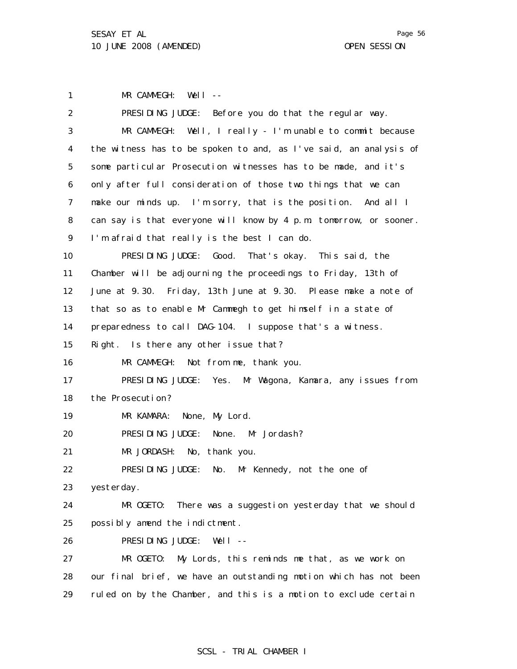1 MR CAMMEGH: Well --

| 2              | PRESIDING JUDGE: Before you do that the regular way.              |
|----------------|-------------------------------------------------------------------|
| 3              | $MR$ CAMMEGH: Well, I really - I'm unable to commit because       |
| 4              | the witness has to be spoken to and, as I've said, an analysis of |
| 5              | some particular Prosecution witnesses has to be made, and it's    |
| 6              | only after full consideration of those two things that we can     |
| $\overline{7}$ | make our minds up. I'm sorry, that is the position. And all I     |
| 8              | can say is that everyone will know by 4 p.m. tomorrow, or sooner. |
| 9              | I'm afraid that really is the best I can do.                      |
| 10             | PRESIDING JUDGE: Good. That's okay. This said, the                |
| 11             | Chamber will be adjourning the proceedings to Friday, 13th of     |
| 12             | June at 9.30. Friday, 13th June at 9.30. Please make a note of    |
| 13             | that so as to enable Mr Cammegh to get himself in a state of      |
| 14             | preparedness to call DAG-104. I suppose that's a witness.         |
| 15             | Right. Is there any other issue that?                             |
| 16             | MR CAMMEGH: Not from me, thank you.                               |
| 17             | PRESIDING JUDGE: Yes. Mr Wagona, Kamara, any issues from          |
| 18             | the Prosecution?                                                  |
| 19             | MR KAMARA: None, My Lord.                                         |
| 20             | PRESIDING JUDGE: None. Mr Jordash?                                |
| 21             | MR JORDASH: No, thank you.                                        |
| 22             | PRESIDING JUDGE: No. Mr Kennedy, not the one of                   |
| 23             | yesterday.                                                        |
| 24             | MR OGETO: There was a suggestion yesterday that we should         |
| 25             | possibly amend the indictment.                                    |
| 26             | PRESIDING JUDGE:<br>Well $--$                                     |
| 27             | MR OGETO:<br>My Lords, this reminds me that, as we work on        |
| 28             | our final brief, we have an outstanding motion which has not been |
| 29             | ruled on by the Chamber, and this is a motion to exclude certain  |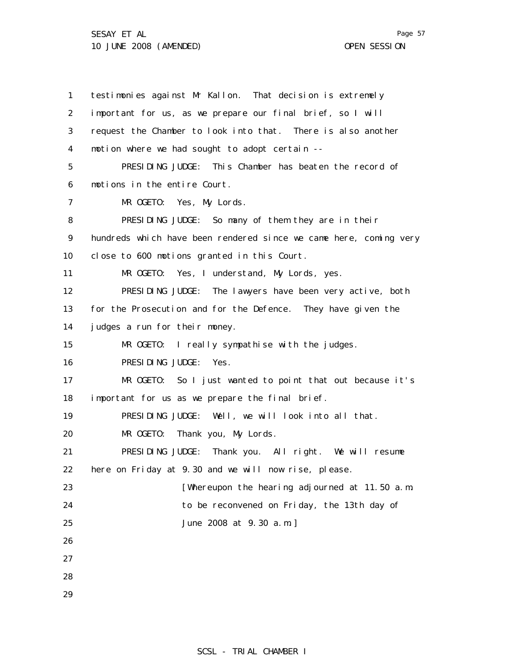1 2 3 4 5 6 7 8 9 10 11 12 13 14 15 16 17 18 19 20 21 22 23 24 25 26 27 28 29 testimonies against Mr Kallon. That decision is extremely important for us, as we prepare our final brief, so I will request the Chamber to look into that. There is also another motion where we had sought to adopt certain -- PRESIDING JUDGE: This Chamber has beaten the record of motions in the entire Court. MR OGETO: Yes, My Lords. PRESIDING JUDGE: So many of them they are in their hundreds which have been rendered since we came here, coming very close to 600 motions granted in this Court. MR OGETO: Yes, I understand, My Lords, yes. PRESIDING JUDGE: The lawyers have been very active, both for the Prosecution and for the Defence. They have given the judges a run for their money. MR OGETO: I really sympathise with the judges. PRESIDING JUDGE: Yes. MR OGETO: So I just wanted to point that out because it's important for us as we prepare the final brief. PRESIDING JUDGE: Well, we will look into all that. MR OGETO: Thank you, My Lords. PRESIDING JUDGE: Thank you. All right. We will resume here on Friday at 9.30 and we will now rise, please. [Whereupon the hearing adjourned at 11.50 a.m. to be reconvened on Friday, the 13th day of June 2008 at 9.30 a.m.]